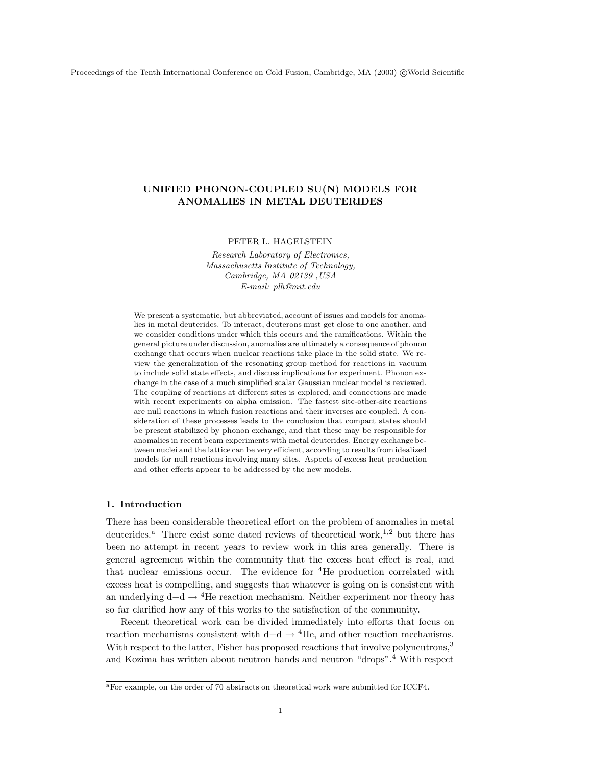# **UNIFIED PHONON-COUPLED SU(N) MODELS FOR ANOMALIES IN METAL DEUTERIDES**

PETER L. HAGELSTEIN

*Research Laboratory of Electronics, Massachusetts Institute of Technology, Cambridge, MA 02139 ,USA E-mail: plh@mit.edu*

We present a systematic, but abbreviated, account of issues and models for anomalies in metal deuterides. To interact, deuterons must get close to one another, and we consider conditions under which this occurs and the ramifications. Within the general picture under discussion, anomalies are ultimately a consequence of phonon exchange that occurs when nuclear reactions take place in the solid state. We review the generalization of the resonating group method for reactions in vacuum to include solid state effects, and discuss implications for experiment. Phonon exchange in the case of a much simplified scalar Gaussian nuclear model is reviewed. The coupling of reactions at different sites is explored, and connections are made with recent experiments on alpha emission. The fastest site-other-site reactions are null reactions in which fusion reactions and their inverses are coupled. A consideration of these processes leads to the conclusion that compact states should be present stabilized by phonon exchange, and that these may be responsible for anomalies in recent beam experiments with metal deuterides. Energy exchange between nuclei and the lattice can be very efficient, according to results from idealized models for null reactions involving many sites. Aspects of excess heat production and other effects appear to be addressed by the new models.

#### **1. Introduction**

There has been considerable theoretical effort on the problem of anomalies in metal deuterides.<sup>a</sup> There exist some dated reviews of theoretical work,<sup>1,2</sup> but there has been no attempt in recent years to review work in this area generally. There is general agreement within the community that the excess heat effect is real, and that nuclear emissions occur. The evidence for <sup>4</sup>He production correlated with excess heat is compelling, and suggests that whatever is going on is consistent with an underlying  $d+d \rightarrow 4$ He reaction mechanism. Neither experiment nor theory has so far clarified how any of this works to the satisfaction of the community.

Recent theoretical work can be divided immediately into efforts that focus on reaction mechanisms consistent with  $d+d \rightarrow 4$ He, and other reaction mechanisms. With respect to the latter, Fisher has proposed reactions that involve polyneutrons,<sup>3</sup> and Kozima has written about neutron bands and neutron "drops".<sup>4</sup> With respect

 $\frac{1}{a}$  For example, on the order of 70 abstracts on theoretical work were submitted for ICCF4.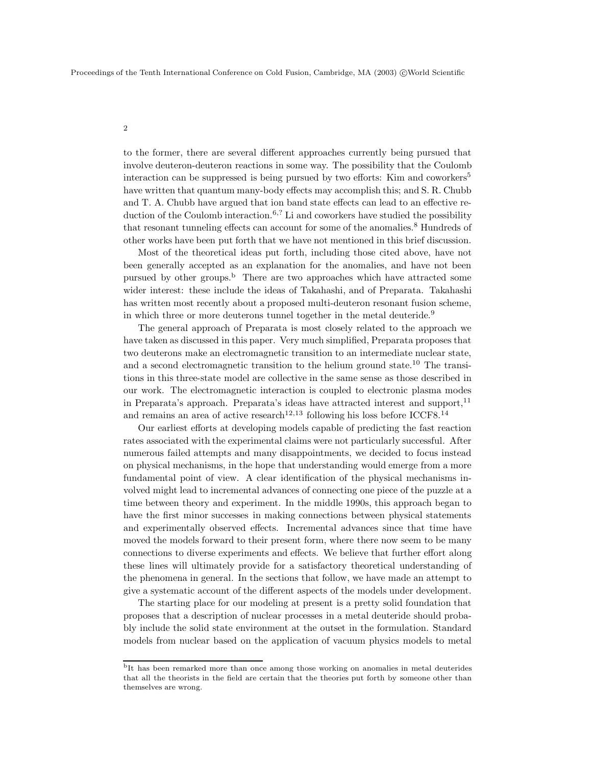to the former, there are several different approaches currently being pursued that involve deuteron-deuteron reactions in some way. The possibility that the Coulomb interaction can be suppressed is being pursued by two efforts: Kim and coworkers<sup>5</sup> have written that quantum many-body effects may accomplish this; and S. R. Chubb and T. A. Chubb have argued that ion band state effects can lead to an effective reduction of the Coulomb interaction.6*,*? Li and coworkers have studied the possibility that resonant tunneling effects can account for some of the anomalies.<sup>8</sup> Hundreds of other works have been put forth that we have not mentioned in this brief discussion.

Most of the theoretical ideas put forth, including those cited above, have not been generally accepted as an explanation for the anomalies, and have not been pursued by other groups.<sup>b</sup> There are two approaches which have attracted some wider interest: these include the ideas of Takahashi, and of Preparata. Takahashi has written most recently about a proposed multi-deuteron resonant fusion scheme, in which three or more deuterons tunnel together in the metal deuteride.<sup>9</sup>

The general approach of Preparata is most closely related to the approach we have taken as discussed in this paper. Very much simplified, Preparata proposes that two deuterons make an electromagnetic transition to an intermediate nuclear state, and a second electromagnetic transition to the helium ground state.<sup>10</sup> The transitions in this three-state model are collective in the same sense as those described in our work. The electromagnetic interaction is coupled to electronic plasma modes in Preparata's approach. Preparata's ideas have attracted interest and support, $^{11}$ and remains an area of active research<sup>12,13</sup> following his loss before ICCF8.<sup>14</sup>

Our earliest efforts at developing models capable of predicting the fast reaction rates associated with the experimental claims were not particularly successful. After numerous failed attempts and many disappointments, we decided to focus instead on physical mechanisms, in the hope that understanding would emerge from a more fundamental point of view. A clear identification of the physical mechanisms involved might lead to incremental advances of connecting one piece of the puzzle at a time between theory and experiment. In the middle 1990s, this approach began to have the first minor successes in making connections between physical statements and experimentally observed effects. Incremental advances since that time have moved the models forward to their present form, where there now seem to be many connections to diverse experiments and effects. We believe that further effort along these lines will ultimately provide for a satisfactory theoretical understanding of the phenomena in general. In the sections that follow, we have made an attempt to give a systematic account of the different aspects of the models under development.

The starting place for our modeling at present is a pretty solid foundation that proposes that a description of nuclear processes in a metal deuteride should probably include the solid state environment at the outset in the formulation. Standard models from nuclear based on the application of vacuum physics models to metal

<sup>b</sup>It has been remarked more than once among those working on anomalies in metal deuterides that all the theorists in the field are certain that the theories put forth by someone other than themselves are wrong.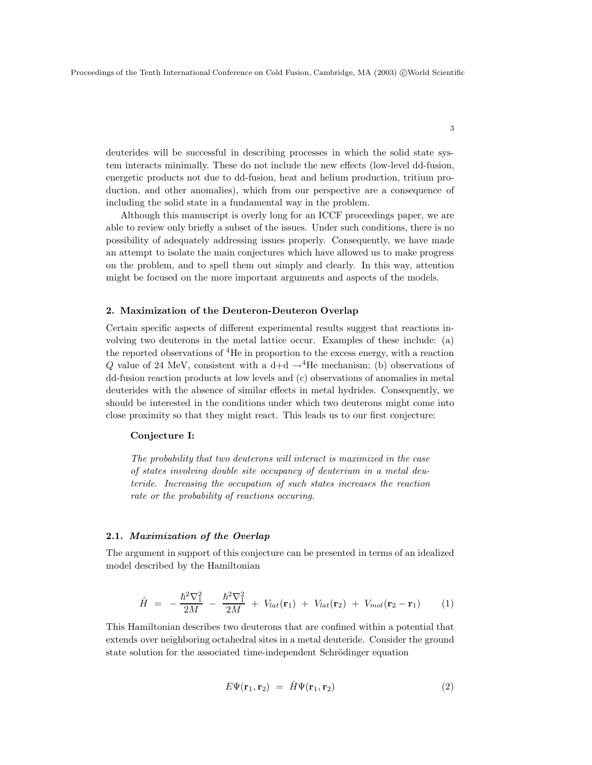deuterides will be successful in describing processes in which the solid state system interacts minimally. These do not include the new effects (low-level dd-fusion, energetic products not due to dd-fusion, heat and helium production, tritium production, and other anomalies), which from our perspective are a consequence of including the solid state in a fundamental way in the problem.

Although this manuscript is overly long for an ICCF proceedings paper, we are able to review only briefly a subset of the issues. Under such conditions, there is no possibility of adequately addressing issues properly. Consequently, we have made an attempt to isolate the main conjectures which have allowed us to make progress on the problem, and to spell them out simply and clearly. In this way, attention might be focused on the more important arguments and aspects of the models.

#### **2. Maximization of the Deuteron-Deuteron Overlap**

Certain specific aspects of different experimental results suggest that reactions involving two deuterons in the metal lattice occur. Examples of these include: (a) the reported observations of  ${}^{4}$ He in proportion to the excess energy, with a reaction *Q* value of 24 MeV, consistent with a d+d  $\rightarrow$ <sup>4</sup>He mechanism; (b) observations of dd-fusion reaction products at low levels and (c) observations of anomalies in metal deuterides with the absence of similar effects in metal hydrides. Consequently, we should be interested in the conditions under which two deuterons might come into close proximity so that they might react. This leads us to our first conjecture:

#### **Conjecture I:**

*The probability that two deuterons will interact is maximized in the case of states involving double site occupancy of deuterium in a metal deuteride. Increasing the occupation of such states increases the reaction rate or the probability of reactions occuring.*

### **2.1.** *Maximization of the Overlap*

The argument in support of this conjecture can be presented in terms of an idealized model described by the Hamiltonian

$$
\hat{H} = -\frac{\hbar^2 \nabla_1^2}{2M} - \frac{\hbar^2 \nabla_1^2}{2M} + V_{lat}(\mathbf{r}_1) + V_{lat}(\mathbf{r}_2) + V_{mol}(\mathbf{r}_2 - \mathbf{r}_1) \tag{1}
$$

This Hamiltonian describes two deuterons that are confined within a potential that extends over neighboring octahedral sites in a metal deuteride. Consider the ground state solution for the associated time-independent Schrödinger equation

$$
E\Psi(\mathbf{r}_1,\mathbf{r}_2) = \hat{H}\Psi(\mathbf{r}_1,\mathbf{r}_2)
$$
\n(2)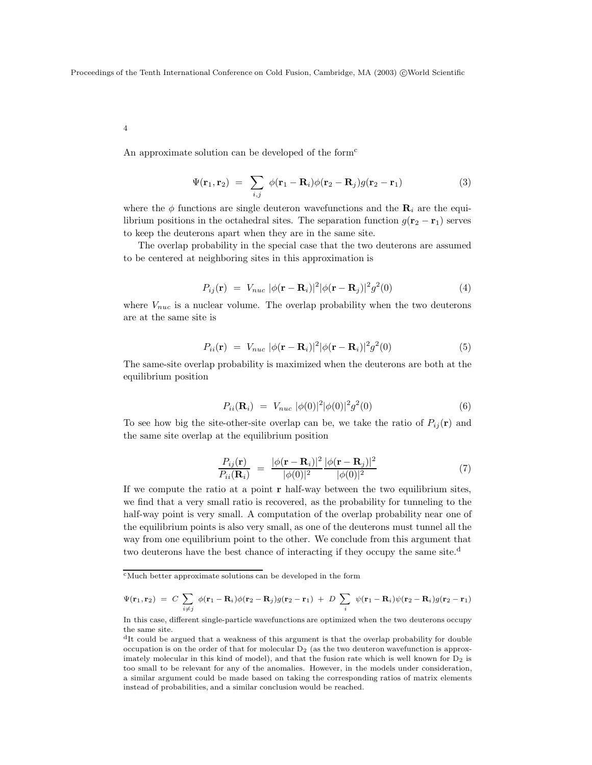An approximate solution can be developed of the form<sup>c</sup>

$$
\Psi(\mathbf{r}_1, \mathbf{r}_2) = \sum_{i,j} \phi(\mathbf{r}_1 - \mathbf{R}_i) \phi(\mathbf{r}_2 - \mathbf{R}_j) g(\mathbf{r}_2 - \mathbf{r}_1)
$$
\n(3)

where the  $\phi$  functions are single deuteron wavefunctions and the  $\mathbf{R}_i$  are the equilibrium positions in the octahedral sites. The separation function  $g(\mathbf{r}_2 - \mathbf{r}_1)$  serves to keep the deuterons apart when they are in the same site.

The overlap probability in the special case that the two deuterons are assumed to be centered at neighboring sites in this approximation is

$$
P_{ij}(\mathbf{r}) = V_{nuc} |\phi(\mathbf{r} - \mathbf{R}_i)|^2 |\phi(\mathbf{r} - \mathbf{R}_j)|^2 g^2(0)
$$
\n(4)

where  $V_{nuc}$  is a nuclear volume. The overlap probability when the two deuterons are at the same site is

$$
P_{ii}(\mathbf{r}) = V_{nuc} |\phi(\mathbf{r} - \mathbf{R}_i)|^2 |\phi(\mathbf{r} - \mathbf{R}_i)|^2 g^2(0)
$$
\n(5)

The same-site overlap probability is maximized when the deuterons are both at the equilibrium position

$$
P_{ii}(\mathbf{R}_i) = V_{nuc} |\phi(0)|^2 |\phi(0)|^2 g^2(0)
$$
\n(6)

To see how big the site-other-site overlap can be, we take the ratio of  $P_{ij}(\mathbf{r})$  and the same site overlap at the equilibrium position

$$
\frac{P_{ij}(\mathbf{r})}{P_{ii}(\mathbf{R}_i)} = \frac{|\phi(\mathbf{r} - \mathbf{R}_i)|^2}{|\phi(0)|^2} \frac{|\phi(\mathbf{r} - \mathbf{R}_j)|^2}{|\phi(0)|^2} \tag{7}
$$

If we compute the ratio at a point **r** half-way between the two equilibrium sites, we find that a very small ratio is recovered, as the probability for tunneling to the half-way point is very small. A computation of the overlap probability near one of the equilibrium points is also very small, as one of the deuterons must tunnel all the way from one equilibrium point to the other. We conclude from this argument that two deuterons have the best chance of interacting if they occupy the same site.<sup>d</sup>

$$
\Psi(\mathbf{r}_1,\mathbf{r}_2) = C \sum_{i \neq j} \phi(\mathbf{r}_1 - \mathbf{R}_i) \phi(\mathbf{r}_2 - \mathbf{R}_j) g(\mathbf{r}_2 - \mathbf{r}_1) + D \sum_{i} \psi(\mathbf{r}_1 - \mathbf{R}_i) \psi(\mathbf{r}_2 - \mathbf{R}_i) g(\mathbf{r}_2 - \mathbf{r}_1)
$$

<sup>c</sup>Much better approximate solutions can be developed in the form

In this case, different single-particle wavefunctions are optimized when the two deuterons occupy the same site.

<sup>&</sup>lt;sup>d</sup>It could be argued that a weakness of this argument is that the overlap probability for double occupation is on the order of that for molecular  $D_2$  (as the two deuteron wavefunction is approximately molecular in this kind of model), and that the fusion rate which is well known for  $D_2$  is too small to be relevant for any of the anomalies. However, in the models under consideration, a similar argument could be made based on taking the corresponding ratios of matrix elements instead of probabilities, and a similar conclusion would be reached.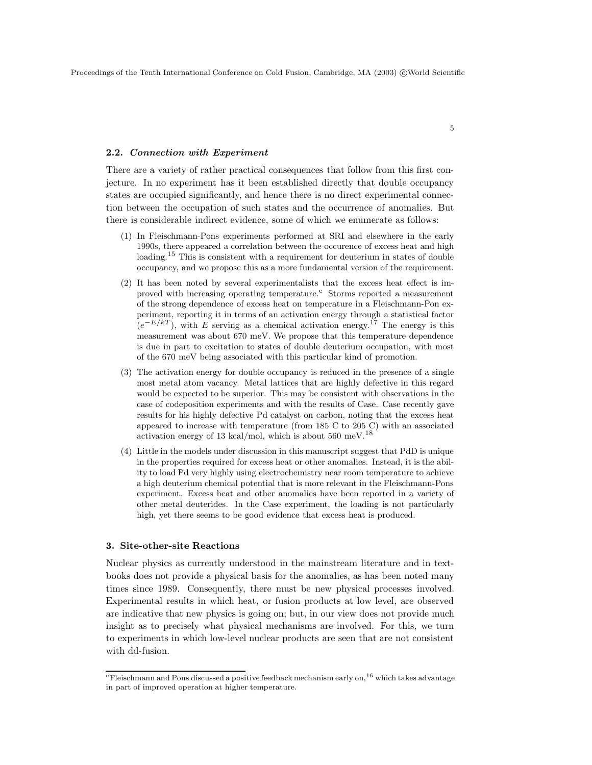### **2.2.** *Connection with Experiment*

There are a variety of rather practical consequences that follow from this first conjecture. In no experiment has it been established directly that double occupancy states are occupied significantly, and hence there is no direct experimental connection between the occupation of such states and the occurrence of anomalies. But there is considerable indirect evidence, some of which we enumerate as follows:

- (1) In Fleischmann-Pons experiments performed at SRI and elsewhere in the early 1990s, there appeared a correlation between the occurence of excess heat and high loading.<sup>15</sup> This is consistent with a requirement for deuterium in states of double occupancy, and we propose this as a more fundamental version of the requirement.
- (2) It has been noted by several experimentalists that the excess heat effect is improved with increasing operating temperature.<sup>e</sup> Storms reported a measurement of the strong dependence of excess heat on temperature in a Fleischmann-Pon experiment, reporting it in terms of an activation energy through a statistical factor  $(e^{-E/kT})$ , with E serving as a chemical activation energy.<sup>17</sup> The energy is this measurement was about 670 meV. We propose that this temperature dependence is due in part to excitation to states of double deuterium occupation, with most of the 670 meV being associated with this particular kind of promotion.
- (3) The activation energy for double occupancy is reduced in the presence of a single most metal atom vacancy. Metal lattices that are highly defective in this regard would be expected to be superior. This may be consistent with observations in the case of codeposition experiments and with the results of Case. Case recently gave results for his highly defective Pd catalyst on carbon, noting that the excess heat appeared to increase with temperature (from 185 C to 205 C) with an associated activation energy of 13 kcal/mol, which is about  $560 \text{ meV}$ <sup>18</sup>
- (4) Little in the models under discussion in this manuscript suggest that PdD is unique in the properties required for excess heat or other anomalies. Instead, it is the ability to load Pd very highly using electrochemistry near room temperature to achieve a high deuterium chemical potential that is more relevant in the Fleischmann-Pons experiment. Excess heat and other anomalies have been reported in a variety of other metal deuterides. In the Case experiment, the loading is not particularly high, yet there seems to be good evidence that excess heat is produced.

#### **3. Site-other-site Reactions**

Nuclear physics as currently understood in the mainstream literature and in textbooks does not provide a physical basis for the anomalies, as has been noted many times since 1989. Consequently, there must be new physical processes involved. Experimental results in which heat, or fusion products at low level, are observed are indicative that new physics is going on; but, in our view does not provide much insight as to precisely what physical mechanisms are involved. For this, we turn to experiments in which low-level nuclear products are seen that are not consistent with dd-fusion.

<sup>e</sup>Fleischmann and Pons discussed a positive feedback mechanism early on,<sup>16</sup> which takes advantage in part of improved operation at higher temperature.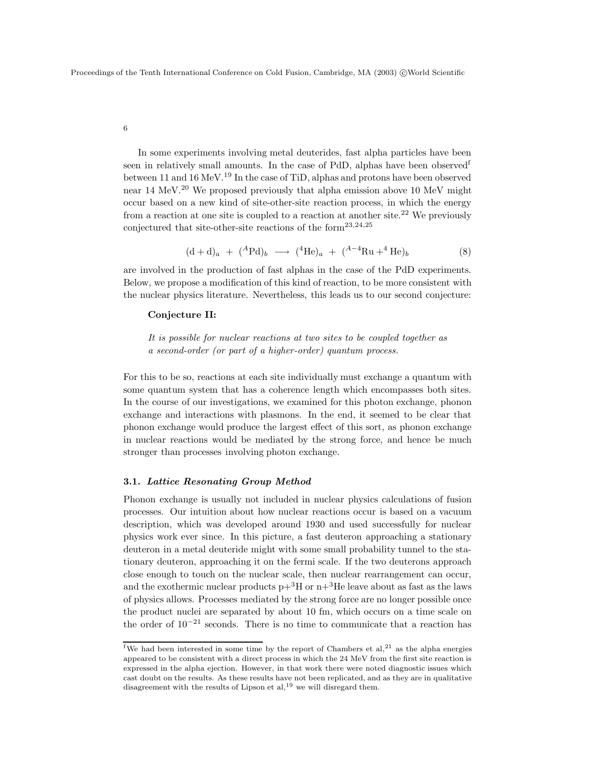6

In some experiments involving metal deuterides, fast alpha particles have been seen in relatively small amounts. In the case of PdD, alphas have been observed<sup>f</sup> between 11 and 16 MeV.<sup>19</sup> In the case of TiD, alphas and protons have been observed near 14 MeV.<sup>20</sup> We proposed previously that alpha emission above 10 MeV might occur based on a new kind of site-other-site reaction process, in which the energy from a reaction at one site is coupled to a reaction at another site.<sup>22</sup> We previously conjectured that site-other-site reactions of the form23*,*24*,*<sup>25</sup>

$$
(\mathrm{d} + \mathrm{d})_a + (^A \mathrm{Pd})_b \longrightarrow (^4 \mathrm{He})_a + (^{A-4} \mathrm{Ru} + ^4 \mathrm{He})_b \tag{8}
$$

are involved in the production of fast alphas in the case of the PdD experiments. Below, we propose a modification of this kind of reaction, to be more consistent with the nuclear physics literature. Nevertheless, this leads us to our second conjecture:

#### **Conjecture II:**

*It is possible for nuclear reactions at two sites to be coupled together as a second-order (or part of a higher-order) quantum process.*

For this to be so, reactions at each site individually must exchange a quantum with some quantum system that has a coherence length which encompasses both sites. In the course of our investigations, we examined for this photon exchange, phonon exchange and interactions with plasmons. In the end, it seemed to be clear that phonon exchange would produce the largest effect of this sort, as phonon exchange in nuclear reactions would be mediated by the strong force, and hence be much stronger than processes involving photon exchange.

#### **3.1.** *Lattice Resonating Group Method*

Phonon exchange is usually not included in nuclear physics calculations of fusion processes. Our intuition about how nuclear reactions occur is based on a vacuum description, which was developed around 1930 and used successfully for nuclear physics work ever since. In this picture, a fast deuteron approaching a stationary deuteron in a metal deuteride might with some small probability tunnel to the stationary deuteron, approaching it on the fermi scale. If the two deuterons approach close enough to touch on the nuclear scale, then nuclear rearrangement can occur, and the exothermic nuclear products  $p+3H$  or  $n+3He$  leave about as fast as the laws of physics allows. Processes mediated by the strong force are no longer possible once the product nuclei are separated by about 10 fm, which occurs on a time scale on the order of  $10^{-21}$  seconds. There is no time to communicate that a reaction has

<sup>&</sup>lt;sup>f</sup>We had been interested in some time by the report of Chambers et al,<sup>21</sup> as the alpha energies appeared to be consistent with a direct process in which the 24 MeV from the first site reaction is expressed in the alpha ejection. However, in that work there were noted diagnostic issues which cast doubt on the results. As these results have not been replicated, and as they are in qualitative disagreement with the results of Lipson et al,  $^{19}$  we will disregard them.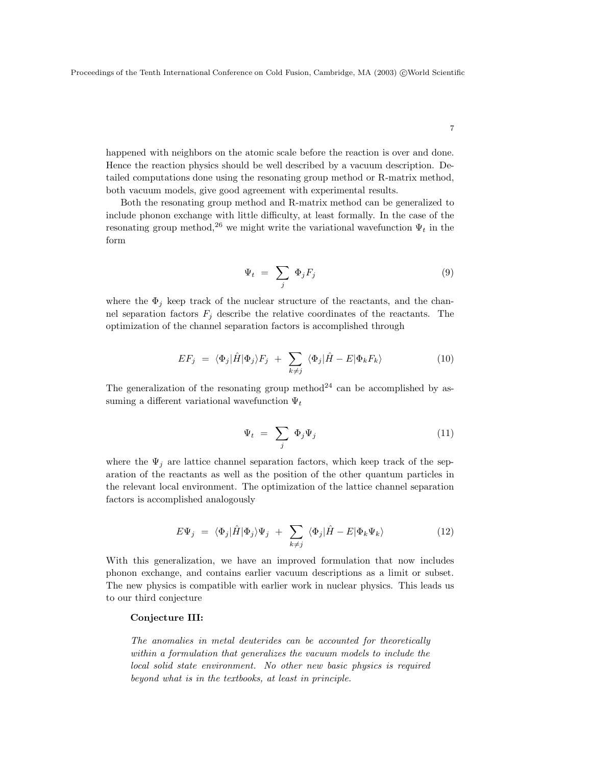happened with neighbors on the atomic scale before the reaction is over and done. Hence the reaction physics should be well described by a vacuum description. Detailed computations done using the resonating group method or R-matrix method, both vacuum models, give good agreement with experimental results.

Both the resonating group method and R-matrix method can be generalized to include phonon exchange with little difficulty, at least formally. In the case of the resonating group method,<sup>26</sup> we might write the variational wavefunction  $\Psi_t$  in the form

$$
\Psi_t = \sum_j \Phi_j F_j \tag{9}
$$

where the  $\Phi_j$  keep track of the nuclear structure of the reactants, and the channel separation factors  $F_j$  describe the relative coordinates of the reactants. The optimization of the channel separation factors is accomplished through

$$
EF_j = \langle \Phi_j | \hat{H} | \Phi_j \rangle F_j + \sum_{k \neq j} \langle \Phi_j | \hat{H} - E | \Phi_k F_k \rangle \tag{10}
$$

The generalization of the resonating group method<sup>24</sup> can be accomplished by assuming a different variational wavefunction Ψ*<sup>t</sup>*

$$
\Psi_t = \sum_j \Phi_j \Psi_j \tag{11}
$$

where the  $\Psi_j$  are lattice channel separation factors, which keep track of the separation of the reactants as well as the position of the other quantum particles in the relevant local environment. The optimization of the lattice channel separation factors is accomplished analogously

$$
E\Psi_j = \langle \Phi_j | \hat{H} | \Phi_j \rangle \Psi_j + \sum_{k \neq j} \langle \Phi_j | \hat{H} - E | \Phi_k \Psi_k \rangle \tag{12}
$$

With this generalization, we have an improved formulation that now includes phonon exchange, and contains earlier vacuum descriptions as a limit or subset. The new physics is compatible with earlier work in nuclear physics. This leads us to our third conjecture

## **Conjecture III:**

*The anomalies in metal deuterides can be accounted for theoretically within a formulation that generalizes the vacuum models to include the local solid state environment. No other new basic physics is required beyond what is in the textbooks, at least in principle.*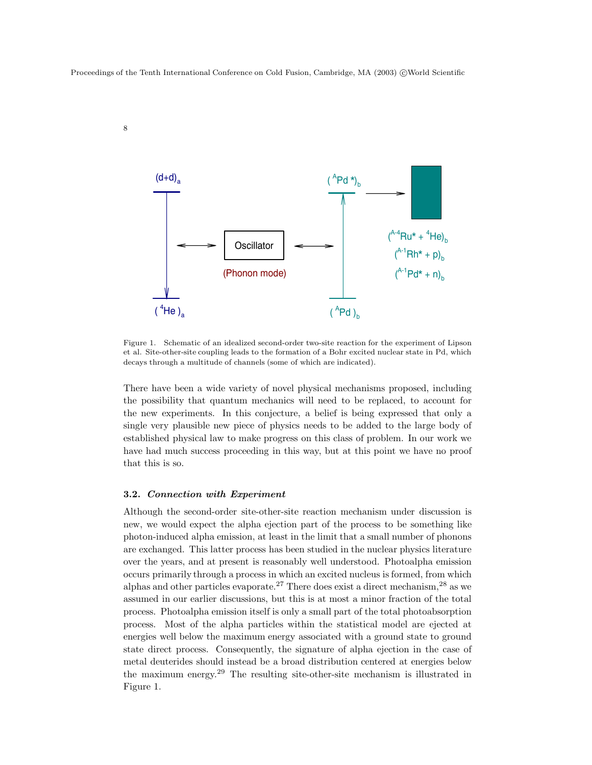



Figure 1. Schematic of an idealized second-order two-site reaction for the experiment of Lipson et al. Site-other-site coupling leads to the formation of a Bohr excited nuclear state in Pd, which decays through a multitude of channels (some of which are indicated).

There have been a wide variety of novel physical mechanisms proposed, including the possibility that quantum mechanics will need to be replaced, to account for the new experiments. In this conjecture, a belief is being expressed that only a single very plausible new piece of physics needs to be added to the large body of established physical law to make progress on this class of problem. In our work we have had much success proceeding in this way, but at this point we have no proof that this is so.

## **3.2.** *Connection with Experiment*

Although the second-order site-other-site reaction mechanism under discussion is new, we would expect the alpha ejection part of the process to be something like photon-induced alpha emission, at least in the limit that a small number of phonons are exchanged. This latter process has been studied in the nuclear physics literature over the years, and at present is reasonably well understood. Photoalpha emission occurs primarily through a process in which an excited nucleus is formed, from which alphas and other particles evaporate.<sup>27</sup> There does exist a direct mechanism,<sup>28</sup> as we assumed in our earlier discussions, but this is at most a minor fraction of the total process. Photoalpha emission itself is only a small part of the total photoabsorption process. Most of the alpha particles within the statistical model are ejected at energies well below the maximum energy associated with a ground state to ground state direct process. Consequently, the signature of alpha ejection in the case of metal deuterides should instead be a broad distribution centered at energies below the maximum energy.<sup>29</sup> The resulting site-other-site mechanism is illustrated in Figure 1.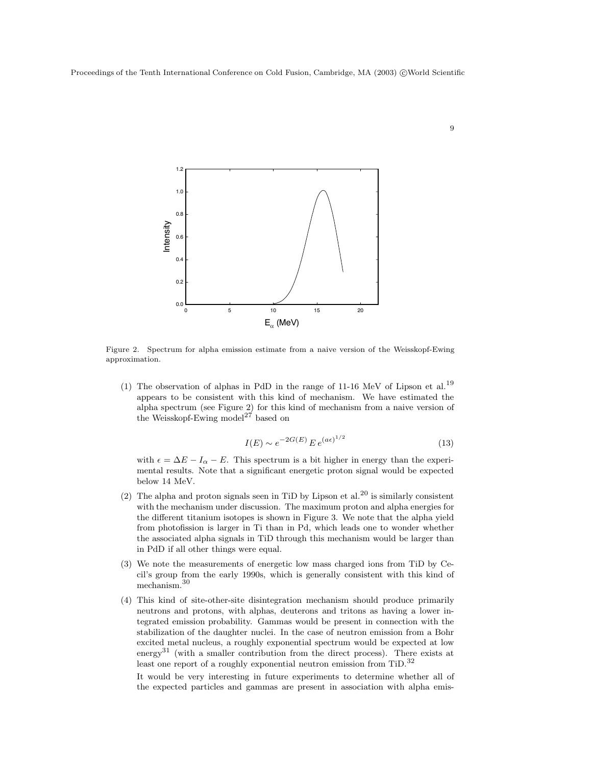

Figure 2. Spectrum for alpha emission estimate from a naive version of the Weisskopf-Ewing approximation.

(1) The observation of alphas in PdD in the range of 11-16 MeV of Lipson et al.<sup>19</sup> appears to be consistent with this kind of mechanism. We have estimated the alpha spectrum (see Figure 2) for this kind of mechanism from a naive version of the Weisskopf-Ewing model<sup>27</sup> based on

$$
I(E) \sim e^{-2G(E)} E e^{(a\epsilon)^{1/2}}
$$
\n(13)

with  $\epsilon = \Delta E - I_{\alpha} - E$ . This spectrum is a bit higher in energy than the experimental results. Note that a significant energetic proton signal would be expected below 14 MeV.

- (2) The alpha and proton signals seen in TiD by Lipson et al.<sup>20</sup> is similarly consistent with the mechanism under discussion. The maximum proton and alpha energies for the different titanium isotopes is shown in Figure 3. We note that the alpha yield from photofission is larger in Ti than in Pd, which leads one to wonder whether the associated alpha signals in TiD through this mechanism would be larger than in PdD if all other things were equal.
- (3) We note the measurements of energetic low mass charged ions from TiD by Cecil's group from the early 1990s, which is generally consistent with this kind of mechanism.<sup>30</sup>
- (4) This kind of site-other-site disintegration mechanism should produce primarily neutrons and protons, with alphas, deuterons and tritons as having a lower integrated emission probability. Gammas would be present in connection with the stabilization of the daughter nuclei. In the case of neutron emission from a Bohr excited metal nucleus, a roughly exponential spectrum would be expected at low energy<sup>31</sup> (with a smaller contribution from the direct process). There exists at least one report of a roughly exponential neutron emission from TiD. $^{32}$

It would be very interesting in future experiments to determine whether all of the expected particles and gammas are present in association with alpha emis-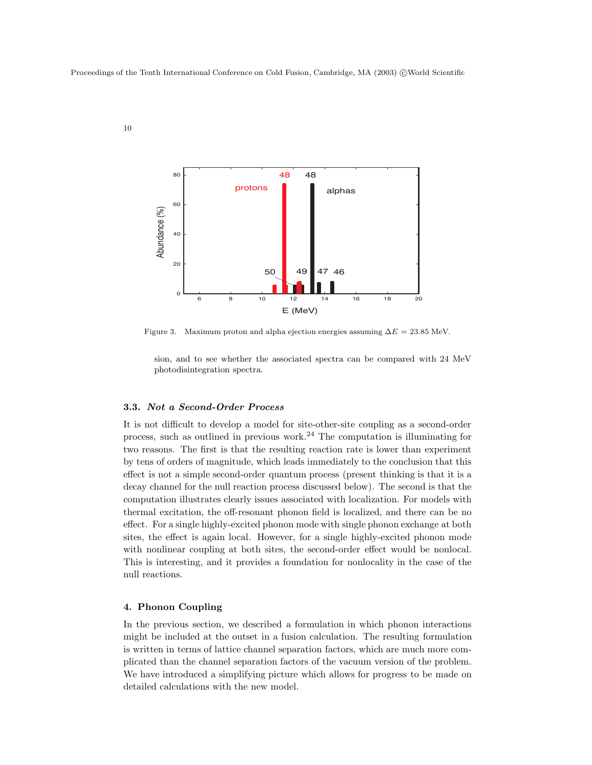



Figure 3. Maximum proton and alpha ejection energies assuming  $\Delta E = 23.85$  MeV.

sion, and to see whether the associated spectra can be compared with 24 MeV photodisintegration spectra.

### **3.3.** *Not a Second-Order Process*

It is not difficult to develop a model for site-other-site coupling as a second-order process, such as outlined in previous work.<sup>24</sup> The computation is illuminating for two reasons. The first is that the resulting reaction rate is lower than experiment by tens of orders of magnitude, which leads immediately to the conclusion that this effect is not a simple second-order quantum process (present thinking is that it is a decay channel for the null reaction process discussed below). The second is that the computation illustrates clearly issues associated with localization. For models with thermal excitation, the off-resonant phonon field is localized, and there can be no effect. For a single highly-excited phonon mode with single phonon exchange at both sites, the effect is again local. However, for a single highly-excited phonon mode with nonlinear coupling at both sites, the second-order effect would be nonlocal. This is interesting, and it provides a foundation for nonlocality in the case of the null reactions.

## **4. Phonon Coupling**

In the previous section, we described a formulation in which phonon interactions might be included at the outset in a fusion calculation. The resulting formulation is written in terms of lattice channel separation factors, which are much more complicated than the channel separation factors of the vacuum version of the problem. We have introduced a simplifying picture which allows for progress to be made on detailed calculations with the new model.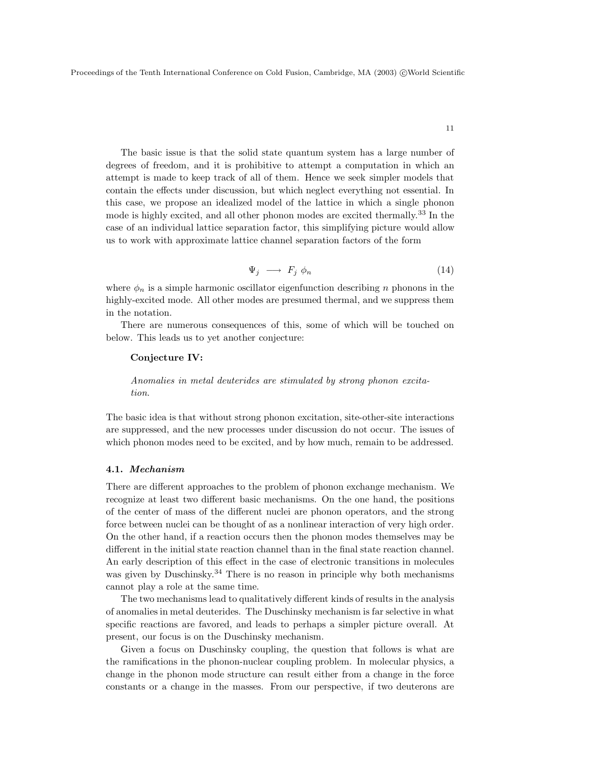The basic issue is that the solid state quantum system has a large number of degrees of freedom, and it is prohibitive to attempt a computation in which an attempt is made to keep track of all of them. Hence we seek simpler models that contain the effects under discussion, but which neglect everything not essential. In this case, we propose an idealized model of the lattice in which a single phonon mode is highly excited, and all other phonon modes are excited thermally.<sup>33</sup> In the case of an individual lattice separation factor, this simplifying picture would allow us to work with approximate lattice channel separation factors of the form

$$
\Psi_j \longrightarrow F_j \phi_n \tag{14}
$$

where  $\phi_n$  is a simple harmonic oscillator eigenfunction describing *n* phonons in the highly-excited mode. All other modes are presumed thermal, and we suppress them in the notation.

There are numerous consequences of this, some of which will be touched on below. This leads us to yet another conjecture:

### **Conjecture IV:**

*Anomalies in metal deuterides are stimulated by strong phonon excitation.*

The basic idea is that without strong phonon excitation, site-other-site interactions are suppressed, and the new processes under discussion do not occur. The issues of which phonon modes need to be excited, and by how much, remain to be addressed.

#### **4.1.** *Mechanism*

There are different approaches to the problem of phonon exchange mechanism. We recognize at least two different basic mechanisms. On the one hand, the positions of the center of mass of the different nuclei are phonon operators, and the strong force between nuclei can be thought of as a nonlinear interaction of very high order. On the other hand, if a reaction occurs then the phonon modes themselves may be different in the initial state reaction channel than in the final state reaction channel. An early description of this effect in the case of electronic transitions in molecules was given by Duschinsky.<sup>34</sup> There is no reason in principle why both mechanisms cannot play a role at the same time.

The two mechanisms lead to qualitatively different kinds of results in the analysis of anomalies in metal deuterides. The Duschinsky mechanism is far selective in what specific reactions are favored, and leads to perhaps a simpler picture overall. At present, our focus is on the Duschinsky mechanism.

Given a focus on Duschinsky coupling, the question that follows is what are the ramifications in the phonon-nuclear coupling problem. In molecular physics, a change in the phonon mode structure can result either from a change in the force constants or a change in the masses. From our perspective, if two deuterons are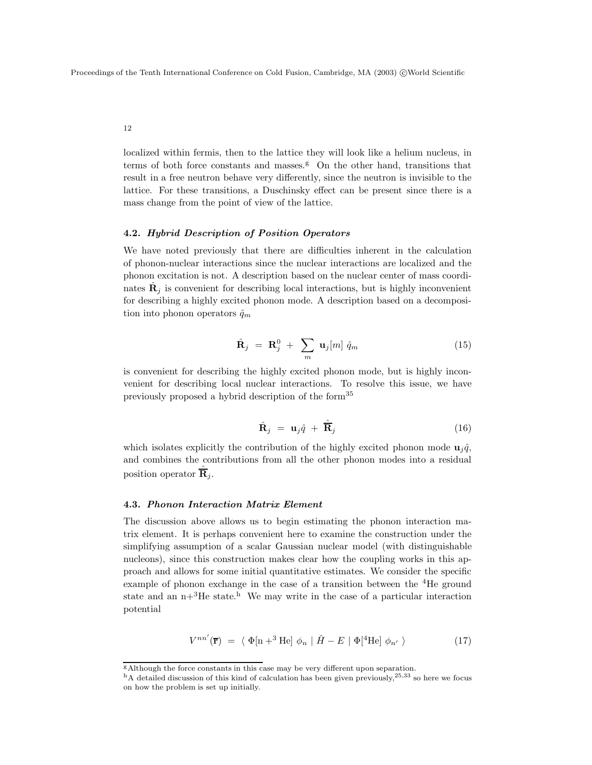localized within fermis, then to the lattice they will look like a helium nucleus, in terms of both force constants and masses.<sup>g</sup> On the other hand, transitions that result in a free neutron behave very differently, since the neutron is invisible to the lattice. For these transitions, a Duschinsky effect can be present since there is a mass change from the point of view of the lattice.

## **4.2.** *Hybrid Description of Position Operators*

We have noted previously that there are difficulties inherent in the calculation of phonon-nuclear interactions since the nuclear interactions are localized and the phonon excitation is not. A description based on the nuclear center of mass coordinates  $\mathbf{R}_j$  is convenient for describing local interactions, but is highly inconvenient for describing a highly excited phonon mode. A description based on a decomposition into phonon operators  $\hat{q}_m$ 

$$
\hat{\mathbf{R}}_j = \mathbf{R}_j^0 + \sum_m \mathbf{u}_j[m] \hat{q}_m \tag{15}
$$

is convenient for describing the highly excited phonon mode, but is highly inconvenient for describing local nuclear interactions. To resolve this issue, we have previously proposed a hybrid description of the form<sup>35</sup>

$$
\hat{\mathbf{R}}_j = \mathbf{u}_j \hat{q} + \hat{\overline{\mathbf{R}}}_j \tag{16}
$$

which isolates explicitly the contribution of the highly excited phonon mode  $\mathbf{u}_i\hat{q}$ , and combines the contributions from all the other phonon modes into a residual position operator  $\hat{\overline{\mathbf{R}}}_j$ .

## **4.3.** *Phonon Interaction Matrix Element*

The discussion above allows us to begin estimating the phonon interaction matrix element. It is perhaps convenient here to examine the construction under the simplifying assumption of a scalar Gaussian nuclear model (with distinguishable nucleons), since this construction makes clear how the coupling works in this approach and allows for some initial quantitative estimates. We consider the specific example of phonon exchange in the case of a transition between the <sup>4</sup>He ground state and an  $n+3$ He state.<sup>h</sup> We may write in the case of a particular interaction potential

$$
V^{nn'}(\mathbf{\bar{r}}) = \langle \Phi[\mathbf{n} + {}^{3}\mathbf{He}] \phi_n \mid \hat{H} - E \mid \Phi[{}^{4}\mathbf{He}] \phi_{n'} \rangle \tag{17}
$$

<sup>g</sup>Although the force constants in this case may be very different upon separation.

<sup>&</sup>lt;sup>h</sup>A detailed discussion of this kind of calculation has been given previously,<sup>25,33</sup> so here we focus on how the problem is set up initially.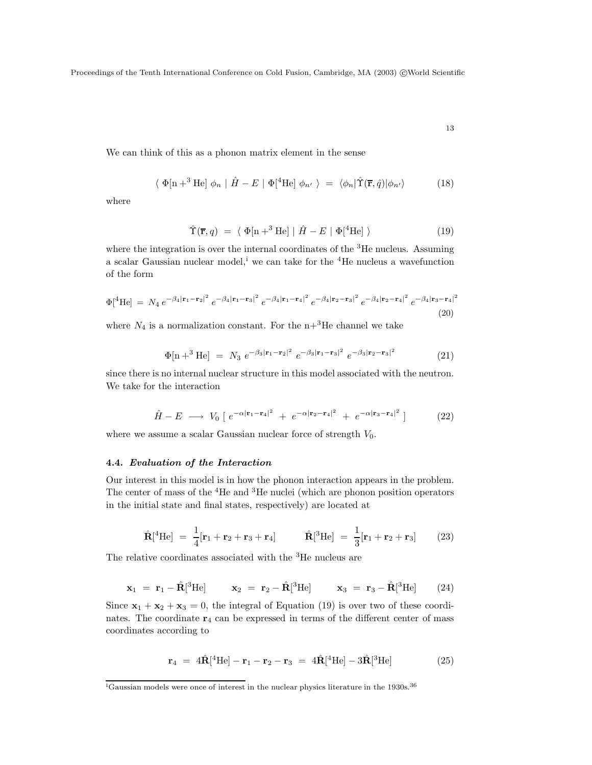$$
13\quad
$$

We can think of this as a phonon matrix element in the sense

$$
\langle \Phi[\mathbf{n} + {}^{3}\mathbf{He}] \phi_n | \hat{H} - E | \Phi[{}^{4}\mathbf{He}] \phi_{n'} \rangle = \langle \phi_n | \hat{\Upsilon}(\overline{\mathbf{r}}, \hat{q}) | \phi_{n'} \rangle \tag{18}
$$

where

$$
\hat{\Upsilon}(\overline{\mathbf{r}},q) = \langle \Phi[\mathbf{n} + {}^{3}\mathbf{He}] | \hat{H} - E | \Phi[{}^{4}\mathbf{He}] \rangle \tag{19}
$$

where the integration is over the internal coordinates of the <sup>3</sup>He nucleus. Assuming a scalar Gaussian nuclear model,<sup>i</sup> we can take for the <sup>4</sup>He nucleus a wavefunction of the form

$$
\Phi[^{4}He] = N_4 e^{-\beta_4 |\mathbf{r}_1 - \mathbf{r}_2|^2} e^{-\beta_4 |\mathbf{r}_1 - \mathbf{r}_3|^2} e^{-\beta_4 |\mathbf{r}_1 - \mathbf{r}_4|^2} e^{-\beta_4 |\mathbf{r}_2 - \mathbf{r}_3|^2} e^{-\beta_4 |\mathbf{r}_2 - \mathbf{r}_4|^2} e^{-\beta_4 |\mathbf{r}_3 - \mathbf{r}_4|^2}
$$
\n(20)

where  $N_4$  is a normalization constant. For the  $n+3$ He channel we take

$$
\Phi[n + {^{3}}\text{He}] = N_3 e^{-\beta_3 |\mathbf{r}_1 - \mathbf{r}_2|^2} e^{-\beta_3 |\mathbf{r}_1 - \mathbf{r}_3|^2} e^{-\beta_3 |\mathbf{r}_2 - \mathbf{r}_3|^2}
$$
(21)

since there is no internal nuclear structure in this model associated with the neutron. We take for the interaction

$$
\hat{H} - E \longrightarrow V_0 \left[ e^{-\alpha |\mathbf{r}_1 - \mathbf{r}_4|^2} + e^{-\alpha |\mathbf{r}_2 - \mathbf{r}_4|^2} + e^{-\alpha |\mathbf{r}_3 - \mathbf{r}_4|^2} \right] \tag{22}
$$

where we assume a scalar Gaussian nuclear force of strength  $V_0$ .

## **4.4.** *Evaluation of the Interaction*

Our interest in this model is in how the phonon interaction appears in the problem. The center of mass of the <sup>4</sup>He and <sup>3</sup>He nuclei (which are phonon position operators in the initial state and final states, respectively) are located at

$$
\hat{\mathbf{R}}[^{4}\mathrm{He}] = \frac{1}{4}[\mathbf{r}_{1} + \mathbf{r}_{2} + \mathbf{r}_{3} + \mathbf{r}_{4}] \qquad \hat{\mathbf{R}}[^{3}\mathrm{He}] = \frac{1}{3}[\mathbf{r}_{1} + \mathbf{r}_{2} + \mathbf{r}_{3}] \qquad (23)
$$

The relative coordinates associated with the <sup>3</sup>He nucleus are

$$
\mathbf{x}_1 = \mathbf{r}_1 - \hat{\mathbf{R}}[^3\text{He}] \qquad \mathbf{x}_2 = \mathbf{r}_2 - \hat{\mathbf{R}}[^3\text{He}] \qquad \mathbf{x}_3 = \mathbf{r}_3 - \hat{\mathbf{R}}[^3\text{He}] \qquad (24)
$$

Since  $\mathbf{x}_1 + \mathbf{x}_2 + \mathbf{x}_3 = 0$ , the integral of Equation (19) is over two of these coordinates. The coordinate  $r_4$  can be expressed in terms of the different center of mass coordinates according to

$$
\mathbf{r}_4 = 4\hat{\mathbf{R}}[^{4}\text{He}] - \mathbf{r}_1 - \mathbf{r}_2 - \mathbf{r}_3 = 4\hat{\mathbf{R}}[^{4}\text{He}] - 3\hat{\mathbf{R}}[^{3}\text{He}] \tag{25}
$$

<sup>&</sup>lt;sup>i</sup>Gaussian models were once of interest in the nuclear physics literature in the 1930s.<sup>36</sup>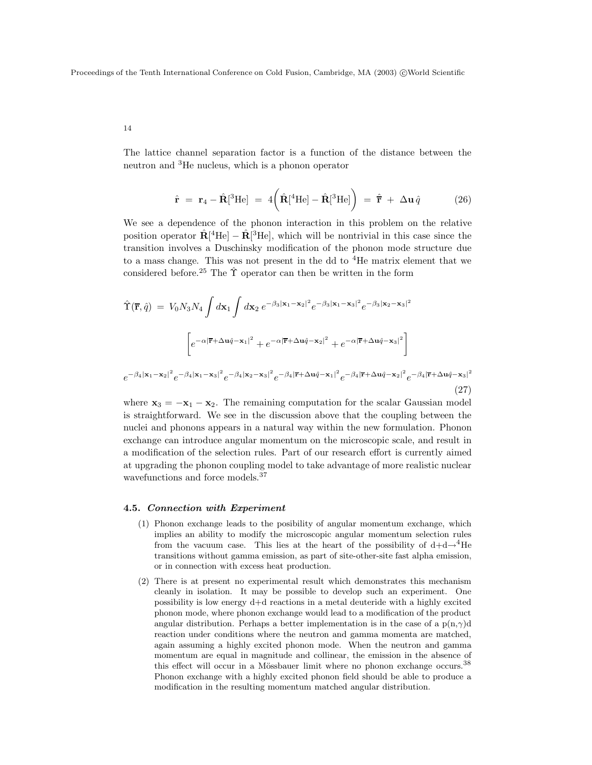The lattice channel separation factor is a function of the distance between the

neutron and <sup>3</sup>He nucleus, which is a phonon operator

 $\hat{\mathbf{r}} = \mathbf{r}_4 - \hat{\mathbf{R}}[^3\text{He}] = 4\left(\hat{\mathbf{R}}[^4\text{He}] - \hat{\mathbf{R}}[^3\text{He}]\right) = \hat{\mathbf{r}} + \Delta\mathbf{u}\,\hat{q}$  (26)

We see a dependence of the phonon interaction in this problem on the relative position operator  $\hat{\mathbf{R}}[^{4}He] - \hat{\mathbf{R}}[^{3}He]$ , which will be nontrivial in this case since the transition involves a Duschinsky modification of the phonon mode structure due to a mass change. This was not present in the dd to <sup>4</sup>He matrix element that we considered before.<sup>25</sup> The  $\hat{\Upsilon}$  operator can then be written in the form

$$
\hat{\Upsilon}(\overline{\mathbf{r}},\hat{q}) = V_0 N_3 N_4 \int d\mathbf{x}_1 \int d\mathbf{x}_2 e^{-\beta_3 |\mathbf{x}_1 - \mathbf{x}_2|^2} e^{-\beta_3 |\mathbf{x}_1 - \mathbf{x}_3|^2} e^{-\beta_3 |\mathbf{x}_2 - \mathbf{x}_3|^2}
$$
\n
$$
\left[ e^{-\alpha |\overline{\mathbf{r}} + \Delta \mathbf{u} \hat{q} - \mathbf{x}_1|^2} + e^{-\alpha |\overline{\mathbf{r}} + \Delta \mathbf{u} \hat{q} - \mathbf{x}_2|^2} + e^{-\alpha |\overline{\mathbf{r}} + \Delta \mathbf{u} \hat{q} - \mathbf{x}_3|^2} \right]
$$
\n
$$
e^{-\beta_4 |\mathbf{x}_1 - \mathbf{x}_2|^2} e^{-\beta_4 |\mathbf{x}_1 - \mathbf{x}_3|^2} e^{-\beta_4 |\mathbf{x}_2 - \mathbf{x}_3|^2} e^{-\beta_4 |\overline{\mathbf{r}} + \Delta \mathbf{u} \hat{q} - \mathbf{x}_1|^2} e^{-\beta_4 |\overline{\mathbf{r}} + \Delta \mathbf{u} \hat{q} - \mathbf{x}_2|^2} e^{-\beta_4 |\overline{\mathbf{r}} + \Delta \mathbf{u} \hat{q} - \mathbf{x}_3|^2} (27)
$$

where  $\mathbf{x}_3 = -\mathbf{x}_1 - \mathbf{x}_2$ . The remaining computation for the scalar Gaussian model is straightforward. We see in the discussion above that the coupling between the nuclei and phonons appears in a natural way within the new formulation. Phonon exchange can introduce angular momentum on the microscopic scale, and result in a modification of the selection rules. Part of our research effort is currently aimed at upgrading the phonon coupling model to take advantage of more realistic nuclear wavefunctions and force models.<sup>37</sup>

#### **4.5.** *Connection with Experiment*

- (1) Phonon exchange leads to the posibility of angular momentum exchange, which implies an ability to modify the microscopic angular momentum selection rules from the vacuum case. This lies at the heart of the possibility of  $d+d\rightarrow 4$ He transitions without gamma emission, as part of site-other-site fast alpha emission, or in connection with excess heat production.
- (2) There is at present no experimental result which demonstrates this mechanism cleanly in isolation. It may be possible to develop such an experiment. One possibility is low energy d+d reactions in a metal deuteride with a highly excited phonon mode, where phonon exchange would lead to a modification of the product angular distribution. Perhaps a better implementation is in the case of a  $p(n,\gamma)d$ reaction under conditions where the neutron and gamma momenta are matched, again assuming a highly excited phonon mode. When the neutron and gamma momentum are equal in magnitude and collinear, the emission in the absence of this effect will occur in a Mössbauer limit where no phonon exchange occurs.<sup>38</sup> Phonon exchange with a highly excited phonon field should be able to produce a modification in the resulting momentum matched angular distribution.

14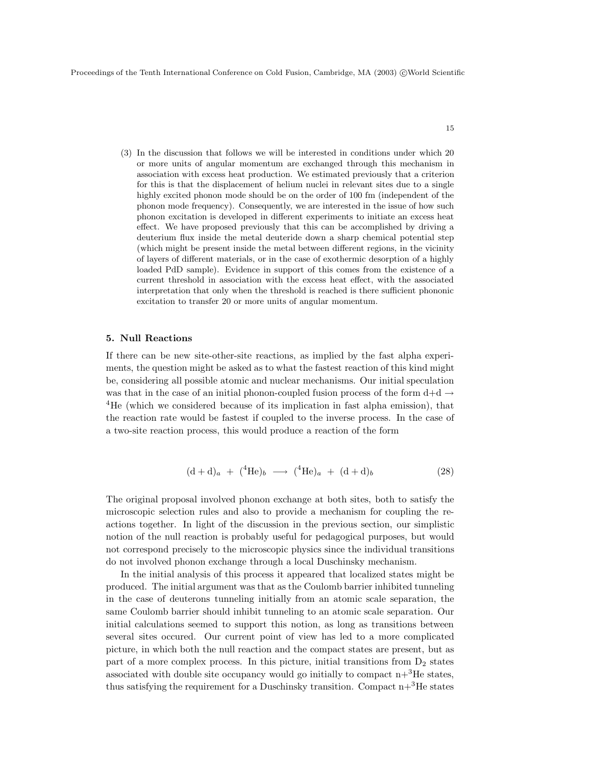(3) In the discussion that follows we will be interested in conditions under which 20 or more units of angular momentum are exchanged through this mechanism in association with excess heat production. We estimated previously that a criterion for this is that the displacement of helium nuclei in relevant sites due to a single highly excited phonon mode should be on the order of 100 fm (independent of the phonon mode frequency). Consequently, we are interested in the issue of how such phonon excitation is developed in different experiments to initiate an excess heat effect. We have proposed previously that this can be accomplished by driving a deuterium flux inside the metal deuteride down a sharp chemical potential step (which might be present inside the metal between different regions, in the vicinity of layers of different materials, or in the case of exothermic desorption of a highly loaded PdD sample). Evidence in support of this comes from the existence of a current threshold in association with the excess heat effect, with the associated interpretation that only when the threshold is reached is there sufficient phononic excitation to transfer 20 or more units of angular momentum.

## **5. Null Reactions**

If there can be new site-other-site reactions, as implied by the fast alpha experiments, the question might be asked as to what the fastest reaction of this kind might be, considering all possible atomic and nuclear mechanisms. Our initial speculation was that in the case of an initial phonon-coupled fusion process of the form d+d  $\rightarrow$ <sup>4</sup>He (which we considered because of its implication in fast alpha emission), that the reaction rate would be fastest if coupled to the inverse process. In the case of a two-site reaction process, this would produce a reaction of the form

$$
(\mathrm{d} + \mathrm{d})_a + \mathrm{(^4He})_b \longrightarrow \mathrm{(^4He})_a + (\mathrm{d} + \mathrm{d})_b \tag{28}
$$

The original proposal involved phonon exchange at both sites, both to satisfy the microscopic selection rules and also to provide a mechanism for coupling the reactions together. In light of the discussion in the previous section, our simplistic notion of the null reaction is probably useful for pedagogical purposes, but would not correspond precisely to the microscopic physics since the individual transitions do not involved phonon exchange through a local Duschinsky mechanism.

In the initial analysis of this process it appeared that localized states might be produced. The initial argument was that as the Coulomb barrier inhibited tunneling in the case of deuterons tunneling initially from an atomic scale separation, the same Coulomb barrier should inhibit tunneling to an atomic scale separation. Our initial calculations seemed to support this notion, as long as transitions between several sites occured. Our current point of view has led to a more complicated picture, in which both the null reaction and the compact states are present, but as part of a more complex process. In this picture, initial transitions from  $D_2$  states associated with double site occupancy would go initially to compact  $n+3$ He states, thus satisfying the requirement for a Duschinsky transition. Compact  $n+3He$  states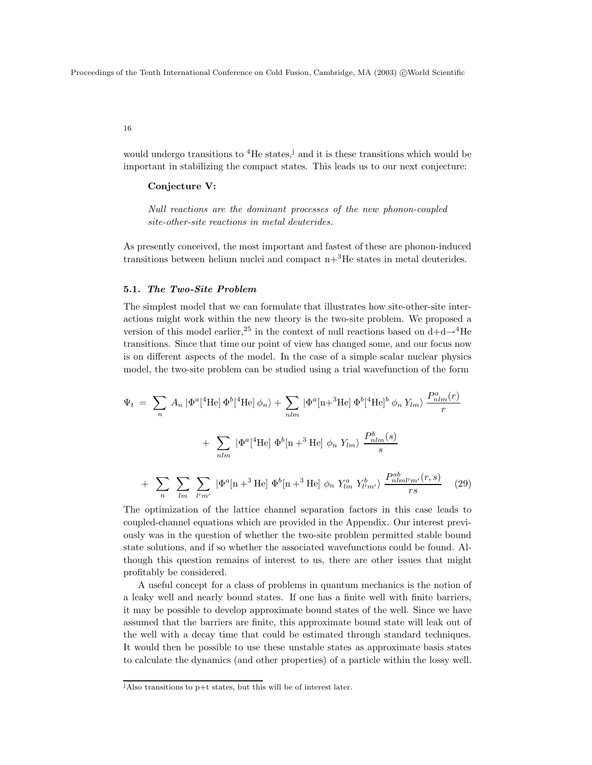16

would undergo transitions to  ${}^{4}$ He states,<sup>j</sup> and it is these transitions which would be important in stabilizing the compact states. This leads us to our next conjecture:

#### **Conjecture V:**

*Null reactions are the dominant processes of the new phonon-coupled site-other-site reactions in metal deuterides.*

As presently conceived, the most important and fastest of these are phonon-induced transitions between helium nuclei and compact  $n+3$ He states in metal deuterides.

#### **5.1.** *The Two-Site Problem*

The simplest model that we can formulate that illustrates how site-other-site interactions might work within the new theory is the two-site problem. We proposed a version of this model earlier,<sup>25</sup> in the context of null reactions based on  $d+d\rightarrow^4$ He transitions. Since that time our point of view has changed some, and our focus now is on different aspects of the model. In the case of a simple scalar nuclear physics model, the two-site problem can be studied using a trial wavefunction of the form

$$
\Psi_{t} = \sum_{n} A_{n} |\Phi^{a}[{}^{4}\text{He}] \Phi^{b}[{}^{4}\text{He}] \phi_{n} \rangle + \sum_{nlm} |\Phi^{a}[{}^{n+3}\text{He}] \Phi^{b}[{}^{4}\text{He}]^{b} \phi_{n} Y_{lm} \rangle \frac{P_{nlm}^{a}(r)}{r}
$$

$$
+ \sum_{nlm} |\Phi^{a}[{}^{4}\text{He}] \Phi^{b}[{}^{n+3}\text{He}] \phi_{n} Y_{lm} \rangle \frac{P_{nlm}^{b}(s)}{s}
$$

$$
+ \sum_{n} \sum_{lm} \sum_{l'm'} |\Phi^{a}[{}^{n+3}\text{He}] \Phi^{b}[{}^{n+3}\text{He}] \phi_{n} Y_{lm}^{a} Y_{l'm'}^{b} \rangle \frac{P_{nlml'm'}^{ab}(r,s)}{rs} \tag{29}
$$

The optimization of the lattice channel separation factors in this case leads to coupled-channel equations which are provided in the Appendix. Our interest previously was in the question of whether the two-site problem permitted stable bound state solutions, and if so whether the associated wavefunctions could be found. Although this question remains of interest to us, there are other issues that might profitably be considered.

A useful concept for a class of problems in quantum mechanics is the notion of a leaky well and nearly bound states. If one has a finite well with finite barriers, it may be possible to develop approximate bound states of the well. Since we have assumed that the barriers are finite, this approximate bound state will leak out of the well with a decay time that could be estimated through standard techniques. It would then be possible to use these unstable states as approximate basis states to calculate the dynamics (and other properties) of a particle within the lossy well.

j Also transitions to p+t states, but this will be of interest later.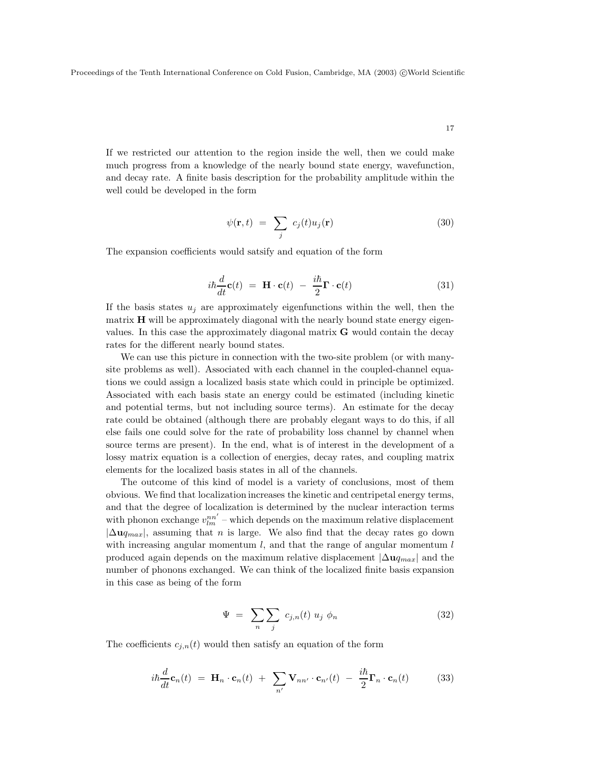If we restricted our attention to the region inside the well, then we could make much progress from a knowledge of the nearly bound state energy, wavefunction, and decay rate. A finite basis description for the probability amplitude within the well could be developed in the form

$$
\psi(\mathbf{r},t) = \sum_{j} c_j(t) u_j(\mathbf{r}) \tag{30}
$$

The expansion coefficients would satsify and equation of the form

$$
i\hbar \frac{d}{dt}\mathbf{c}(t) = \mathbf{H} \cdot \mathbf{c}(t) - \frac{i\hbar}{2}\mathbf{\Gamma} \cdot \mathbf{c}(t)
$$
\n(31)

If the basis states  $u_j$  are approximately eigenfunctions within the well, then the matrix **H** will be approximately diagonal with the nearly bound state energy eigenvalues. In this case the approximately diagonal matrix **G** would contain the decay rates for the different nearly bound states.

We can use this picture in connection with the two-site problem (or with manysite problems as well). Associated with each channel in the coupled-channel equations we could assign a localized basis state which could in principle be optimized. Associated with each basis state an energy could be estimated (including kinetic and potential terms, but not including source terms). An estimate for the decay rate could be obtained (although there are probably elegant ways to do this, if all else fails one could solve for the rate of probability loss channel by channel when source terms are present). In the end, what is of interest in the development of a lossy matrix equation is a collection of energies, decay rates, and coupling matrix elements for the localized basis states in all of the channels.

The outcome of this kind of model is a variety of conclusions, most of them obvious. We find that localization increases the kinetic and centripetal energy terms, and that the degree of localization is determined by the nuclear interaction terms with phonon exchange  $v_{lm}^{nn'}$  – which depends on the maximum relative displacement |∆**u***qmax*|, assuming that *n* is large. We also find that the decay rates go down with increasing angular momentum *l*, and that the range of angular momentum *l* produced again depends on the maximum relative displacement |∆**u***qmax*| and the number of phonons exchanged. We can think of the localized finite basis expansion in this case as being of the form

$$
\Psi = \sum_{n} \sum_{j} c_{j,n}(t) u_j \phi_n \tag{32}
$$

The coefficients  $c_{i,n}(t)$  would then satisfy an equation of the form

$$
i\hbar \frac{d}{dt} \mathbf{c}_n(t) = \mathbf{H}_n \cdot \mathbf{c}_n(t) + \sum_{n'} \mathbf{V}_{nn'} \cdot \mathbf{c}_{n'}(t) - \frac{i\hbar}{2} \mathbf{\Gamma}_n \cdot \mathbf{c}_n(t)
$$
(33)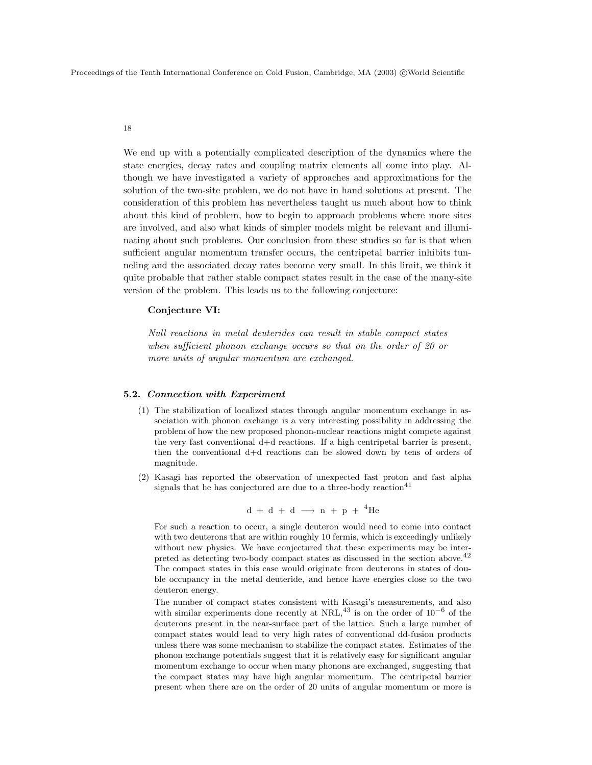We end up with a potentially complicated description of the dynamics where the state energies, decay rates and coupling matrix elements all come into play. Although we have investigated a variety of approaches and approximations for the solution of the two-site problem, we do not have in hand solutions at present. The consideration of this problem has nevertheless taught us much about how to think about this kind of problem, how to begin to approach problems where more sites are involved, and also what kinds of simpler models might be relevant and illuminating about such problems. Our conclusion from these studies so far is that when sufficient angular momentum transfer occurs, the centripetal barrier inhibits tunneling and the associated decay rates become very small. In this limit, we think it quite probable that rather stable compact states result in the case of the many-site version of the problem. This leads us to the following conjecture:

#### **Conjecture VI:**

*Null reactions in metal deuterides can result in stable compact states when sufficient phonon exchange occurs so that on the order of 20 or more units of angular momentum are exchanged.*

#### **5.2.** *Connection with Experiment*

- (1) The stabilization of localized states through angular momentum exchange in association with phonon exchange is a very interesting possibility in addressing the problem of how the new proposed phonon-nuclear reactions might compete against the very fast conventional d+d reactions. If a high centripetal barrier is present, then the conventional d+d reactions can be slowed down by tens of orders of magnitude.
- (2) Kasagi has reported the observation of unexpected fast proton and fast alpha signals that he has conjectured are due to a three-body reaction  $41$

$$
d + d + d \longrightarrow n + p + {}^{4}He
$$

For such a reaction to occur, a single deuteron would need to come into contact with two deuterons that are within roughly 10 fermis, which is exceedingly unlikely without new physics. We have conjectured that these experiments may be interpreted as detecting two-body compact states as discussed in the section above.<sup>42</sup> The compact states in this case would originate from deuterons in states of double occupancy in the metal deuteride, and hence have energies close to the two deuteron energy.

The number of compact states consistent with Kasagi's measurements, and also with similar experiments done recently at NRL,<sup>43</sup> is on the order of  $10^{-6}$  of the deuterons present in the near-surface part of the lattice. Such a large number of compact states would lead to very high rates of conventional dd-fusion products unless there was some mechanism to stabilize the compact states. Estimates of the phonon exchange potentials suggest that it is relatively easy for significant angular momentum exchange to occur when many phonons are exchanged, suggesting that the compact states may have high angular momentum. The centripetal barrier present when there are on the order of 20 units of angular momentum or more is

18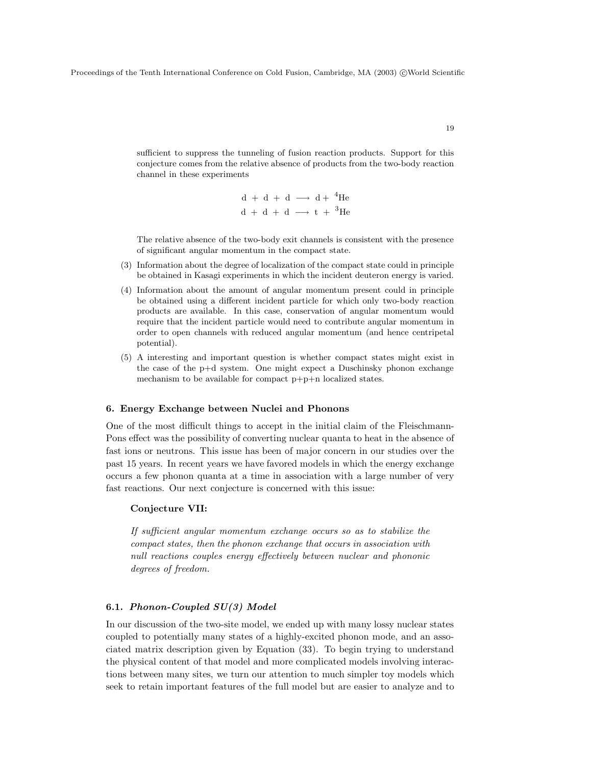sufficient to suppress the tunneling of fusion reaction products. Support for this conjecture comes from the relative absence of products from the two-body reaction channel in these experiments

$$
d + d + d \longrightarrow d + {}^{4}\text{He}
$$
  

$$
d + d + d \longrightarrow t + {}^{3}\text{He}
$$

The relative absence of the two-body exit channels is consistent with the presence of significant angular momentum in the compact state.

- (3) Information about the degree of localization of the compact state could in principle be obtained in Kasagi experiments in which the incident deuteron energy is varied.
- (4) Information about the amount of angular momentum present could in principle be obtained using a different incident particle for which only two-body reaction products are available. In this case, conservation of angular momentum would require that the incident particle would need to contribute angular momentum in order to open channels with reduced angular momentum (and hence centripetal potential).
- (5) A interesting and important question is whether compact states might exist in the case of the p+d system. One might expect a Duschinsky phonon exchange mechanism to be available for compact p+p+n localized states.

### **6. Energy Exchange between Nuclei and Phonons**

One of the most difficult things to accept in the initial claim of the Fleischmann-Pons effect was the possibility of converting nuclear quanta to heat in the absence of fast ions or neutrons. This issue has been of major concern in our studies over the past 15 years. In recent years we have favored models in which the energy exchange occurs a few phonon quanta at a time in association with a large number of very fast reactions. Our next conjecture is concerned with this issue:

## **Conjecture VII:**

*If sufficient angular momentum exchange occurs so as to stabilize the compact states, then the phonon exchange that occurs in association with null reactions couples energy effectively between nuclear and phononic degrees of freedom.*

## **6.1.** *Phonon-Coupled SU(3) Model*

In our discussion of the two-site model, we ended up with many lossy nuclear states coupled to potentially many states of a highly-excited phonon mode, and an associated matrix description given by Equation (33). To begin trying to understand the physical content of that model and more complicated models involving interactions between many sites, we turn our attention to much simpler toy models which seek to retain important features of the full model but are easier to analyze and to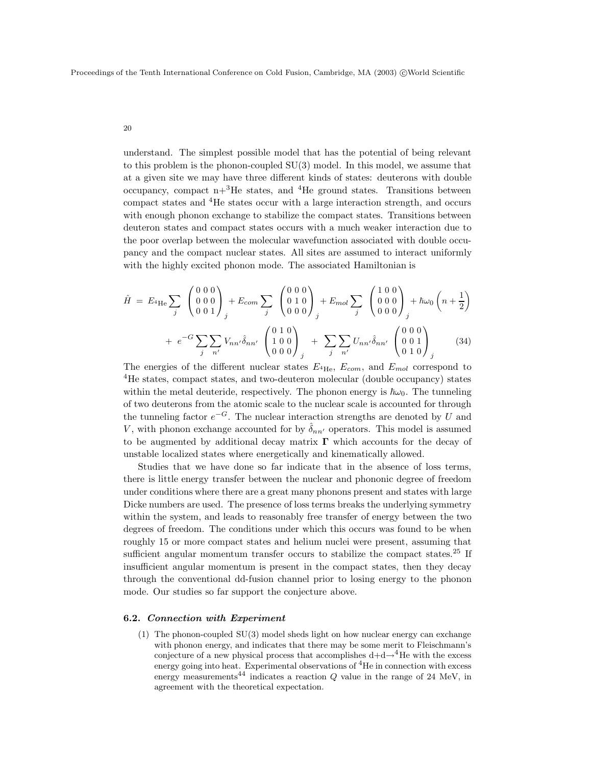understand. The simplest possible model that has the potential of being relevant to this problem is the phonon-coupled SU(3) model. In this model, we assume that at a given site we may have three different kinds of states: deuterons with double occupancy, compact  $n+3$ He states, and <sup>4</sup>He ground states. Transitions between compact states and <sup>4</sup>He states occur with a large interaction strength, and occurs with enough phonon exchange to stabilize the compact states. Transitions between deuteron states and compact states occurs with a much weaker interaction due to the poor overlap between the molecular wavefunction associated with double occupancy and the compact nuclear states. All sites are assumed to interact uniformly with the highly excited phonon mode. The associated Hamiltonian is

$$
\hat{H} = E_{4\text{He}} \sum_{j} \begin{pmatrix} 0 & 0 & 0 \\ 0 & 0 & 0 \\ 0 & 0 & 1 \end{pmatrix}_{j} + E_{com} \sum_{j} \begin{pmatrix} 0 & 0 & 0 \\ 0 & 1 & 0 \\ 0 & 0 & 0 \end{pmatrix}_{j} + E_{mol} \sum_{j} \begin{pmatrix} 1 & 0 & 0 \\ 0 & 0 & 0 \\ 0 & 0 & 0 \end{pmatrix}_{j} + \hbar \omega_{0} \left( n + \frac{1}{2} \right)
$$

$$
+ e^{-G} \sum_{j} \sum_{n'} V_{nn'} \hat{\delta}_{nn'} \begin{pmatrix} 0 & 1 & 0 \\ 1 & 0 & 0 \\ 0 & 0 & 0 \end{pmatrix}_{j} + \sum_{j} \sum_{n'} U_{nn'} \hat{\delta}_{nn'} \begin{pmatrix} 0 & 0 & 0 \\ 0 & 0 & 1 \\ 0 & 1 & 0 \end{pmatrix}_{j} \tag{34}
$$

The energies of the different nuclear states  $E_{^4\text{He}}$ ,  $E_{com}$ , and  $E_{mol}$  correspond to <sup>4</sup>He states, compact states, and two-deuteron molecular (double occupancy) states within the metal deuteride, respectively. The phonon energy is  $\hbar\omega_0$ . The tunneling of two deuterons from the atomic scale to the nuclear scale is accounted for through the tunneling factor  $e^{-G}$ . The nuclear interaction strengths are denoted by *U* and *V*, with phonon exchange accounted for by  $\hat{\delta}_{nn'}$  operators. This model is assumed to be augmented by additional decay matrix **Γ** which accounts for the decay of unstable localized states where energetically and kinematically allowed.

Studies that we have done so far indicate that in the absence of loss terms, there is little energy transfer between the nuclear and phononic degree of freedom under conditions where there are a great many phonons present and states with large Dicke numbers are used. The presence of loss terms breaks the underlying symmetry within the system, and leads to reasonably free transfer of energy between the two degrees of freedom. The conditions under which this occurs was found to be when roughly 15 or more compact states and helium nuclei were present, assuming that sufficient angular momentum transfer occurs to stabilize the compact states.<sup>25</sup> If insufficient angular momentum is present in the compact states, then they decay through the conventional dd-fusion channel prior to losing energy to the phonon mode. Our studies so far support the conjecture above.

#### **6.2.** *Connection with Experiment*

(1) The phonon-coupled SU(3) model sheds light on how nuclear energy can exchange with phonon energy, and indicates that there may be some merit to Fleischmann's conjecture of a new physical process that accomplishes  $d+d\rightarrow^4\!\mathrm{He}$  with the excess energy going into heat. Experimental observations of  ${}^{4}$ He in connection with excess energy measurements<sup>44</sup> indicates a reaction  $Q$  value in the range of 24 MeV, in agreement with the theoretical expectation.

20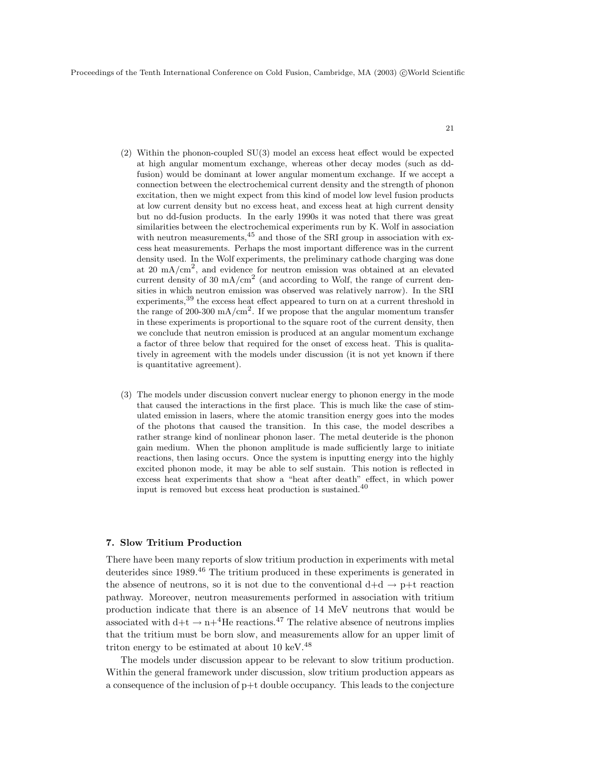- (2) Within the phonon-coupled SU(3) model an excess heat effect would be expected at high angular momentum exchange, whereas other decay modes (such as ddfusion) would be dominant at lower angular momentum exchange. If we accept a connection between the electrochemical current density and the strength of phonon excitation, then we might expect from this kind of model low level fusion products at low current density but no excess heat, and excess heat at high current density but no dd-fusion products. In the early 1990s it was noted that there was great similarities between the electrochemical experiments run by K. Wolf in association with neutron measurements,  $45$  and those of the SRI group in association with excess heat measurements. Perhaps the most important difference was in the current density used. In the Wolf experiments, the preliminary cathode charging was done at 20 mA/ $\text{cm}^2$ , and evidence for neutron emission was obtained at an elevated current density of 30  $mA/cm<sup>2</sup>$  (and according to Wolf, the range of current densities in which neutron emission was observed was relatively narrow). In the SRI experiments,<sup>39</sup> the excess heat effect appeared to turn on at a current threshold in the range of 200-300 mA/cm<sup>2</sup>. If we propose that the angular momentum transfer in these experiments is proportional to the square root of the current density, then we conclude that neutron emission is produced at an angular momentum exchange a factor of three below that required for the onset of excess heat. This is qualitatively in agreement with the models under discussion (it is not yet known if there is quantitative agreement).
- (3) The models under discussion convert nuclear energy to phonon energy in the mode that caused the interactions in the first place. This is much like the case of stimulated emission in lasers, where the atomic transition energy goes into the modes of the photons that caused the transition. In this case, the model describes a rather strange kind of nonlinear phonon laser. The metal deuteride is the phonon gain medium. When the phonon amplitude is made sufficiently large to initiate reactions, then lasing occurs. Once the system is inputting energy into the highly excited phonon mode, it may be able to self sustain. This notion is reflected in excess heat experiments that show a "heat after death" effect, in which power input is removed but excess heat production is sustained. $^{40}$

#### **7. Slow Tritium Production**

There have been many reports of slow tritium production in experiments with metal deuterides since 1989.<sup>46</sup> The tritium produced in these experiments is generated in the absence of neutrons, so it is not due to the conventional  $d+d \rightarrow p+t$  reaction pathway. Moreover, neutron measurements performed in association with tritium production indicate that there is an absence of 14 MeV neutrons that would be associated with  $d+t \to n+4$ He reactions.<sup>47</sup> The relative absence of neutrons implies that the tritium must be born slow, and measurements allow for an upper limit of triton energy to be estimated at about 10 keV. $^{48}$ 

The models under discussion appear to be relevant to slow tritium production. Within the general framework under discussion, slow tritium production appears as a consequence of the inclusion of p+t double occupancy. This leads to the conjecture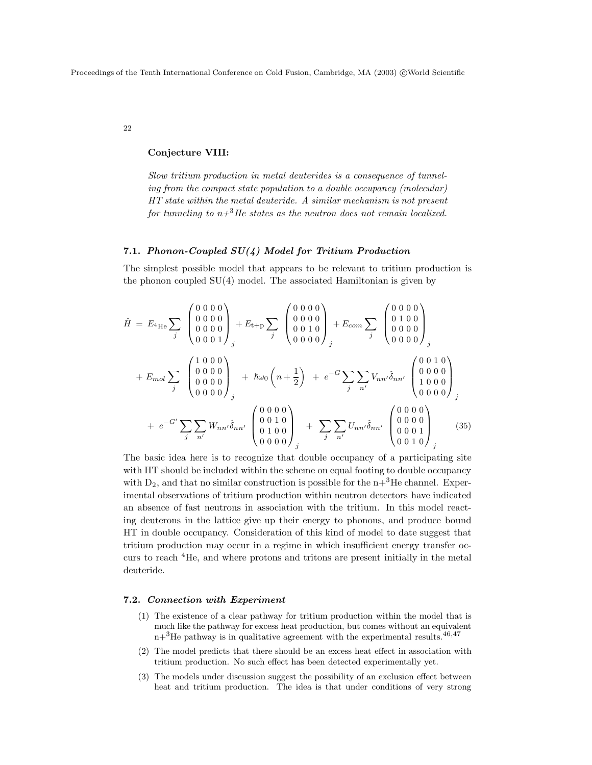### **Conjecture VIII:**

*Slow tritium production in metal deuterides is a consequence of tunneling from the compact state population to a double occupancy (molecular) HT state within the metal deuteride. A similar mechanism is not present for tunneling to n+*3*He states as the neutron does not remain localized.*

## **7.1.** *Phonon-Coupled SU(4) Model for Tritium Production*

The simplest possible model that appears to be relevant to tritium production is the phonon coupled SU(4) model. The associated Hamiltonian is given by

$$
\hat{H} = E_{4\text{He}} \sum_{j} \begin{pmatrix} 0 & 0 & 0 & 0 \\ 0 & 0 & 0 & 0 \\ 0 & 0 & 0 & 0 \\ 0 & 0 & 0 & 1 \end{pmatrix}_{j} + E_{t+p} \sum_{j} \begin{pmatrix} 0 & 0 & 0 & 0 \\ 0 & 0 & 0 & 0 \\ 0 & 0 & 1 & 0 \\ 0 & 0 & 0 & 0 \end{pmatrix}_{j} + E_{cond} \sum_{j} \begin{pmatrix} 0 & 0 & 0 & 0 \\ 0 & 1 & 0 & 0 \\ 0 & 0 & 0 & 0 \\ 0 & 0 & 0 & 0 \end{pmatrix}_{j} + E_{mod} \sum_{j} \begin{pmatrix} 1 & 0 & 0 & 0 \\ 0 & 0 & 0 & 0 \\ 0 & 0 & 0 & 0 \end{pmatrix}_{j} + \hbar \omega_{0} \left( n + \frac{1}{2} \right) + e^{-G} \sum_{j} \sum_{n'} V_{nn'} \hat{\delta}_{nn'} \begin{pmatrix} 0 & 0 & 1 & 0 \\ 0 & 0 & 0 & 0 \\ 1 & 0 & 0 & 0 \\ 0 & 0 & 0 & 0 \end{pmatrix}_{j} + e^{-G'} \sum_{j} \sum_{n'} W_{nn'} \hat{\delta}_{nn'} \begin{pmatrix} 0 & 0 & 0 & 0 \\ 0 & 0 & 0 & 0 \\ 0 & 0 & 0 & 0 \\ 0 & 0 & 0 & 1 \end{pmatrix}_{j} \tag{35}
$$

The basic idea here is to recognize that double occupancy of a participating site with HT should be included within the scheme on equal footing to double occupancy with  $D_2$ , and that no similar construction is possible for the  $n+3$ He channel. Experimental observations of tritium production within neutron detectors have indicated an absence of fast neutrons in association with the tritium. In this model reacting deuterons in the lattice give up their energy to phonons, and produce bound HT in double occupancy. Consideration of this kind of model to date suggest that tritium production may occur in a regime in which insufficient energy transfer occurs to reach <sup>4</sup>He, and where protons and tritons are present initially in the metal deuteride.

#### **7.2.** *Connection with Experiment*

- (1) The existence of a clear pathway for tritium production within the model that is much like the pathway for excess heat production, but comes without an equivalent  $n+3$ He pathway is in qualitative agreement with the experimental results.<sup>46,47</sup>
- (2) The model predicts that there should be an excess heat effect in association with tritium production. No such effect has been detected experimentally yet.
- (3) The models under discussion suggest the possibility of an exclusion effect between heat and tritium production. The idea is that under conditions of very strong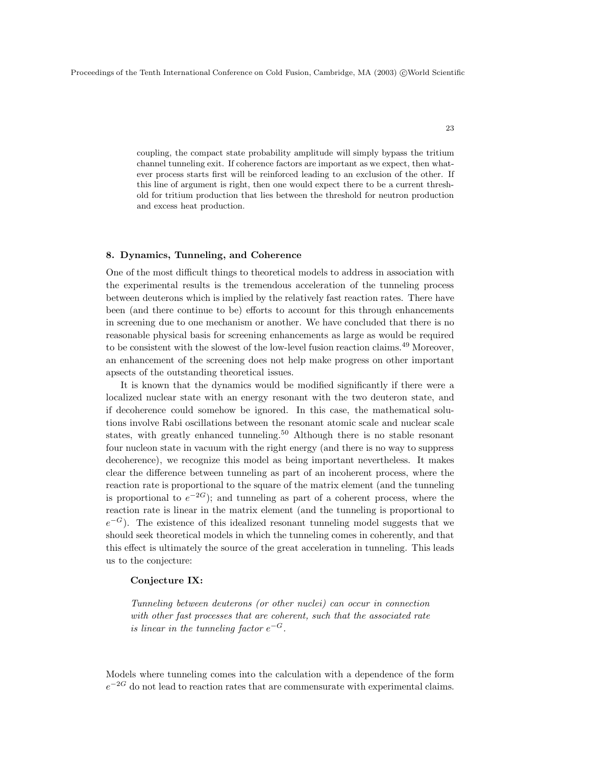coupling, the compact state probability amplitude will simply bypass the tritium channel tunneling exit. If coherence factors are important as we expect, then whatever process starts first will be reinforced leading to an exclusion of the other. If this line of argument is right, then one would expect there to be a current threshold for tritium production that lies between the threshold for neutron production and excess heat production.

## **8. Dynamics, Tunneling, and Coherence**

One of the most difficult things to theoretical models to address in association with the experimental results is the tremendous acceleration of the tunneling process between deuterons which is implied by the relatively fast reaction rates. There have been (and there continue to be) efforts to account for this through enhancements in screening due to one mechanism or another. We have concluded that there is no reasonable physical basis for screening enhancements as large as would be required to be consistent with the slowest of the low-level fusion reaction claims.<sup>49</sup> Moreover, an enhancement of the screening does not help make progress on other important apsects of the outstanding theoretical issues.

It is known that the dynamics would be modified significantly if there were a localized nuclear state with an energy resonant with the two deuteron state, and if decoherence could somehow be ignored. In this case, the mathematical solutions involve Rabi oscillations between the resonant atomic scale and nuclear scale states, with greatly enhanced tunneling.<sup>50</sup> Although there is no stable resonant four nucleon state in vacuum with the right energy (and there is no way to suppress decoherence), we recognize this model as being important nevertheless. It makes clear the difference between tunneling as part of an incoherent process, where the reaction rate is proportional to the square of the matrix element (and the tunneling is proportional to  $e^{-2G}$ ); and tunneling as part of a coherent process, where the reaction rate is linear in the matrix element (and the tunneling is proportional to  $e^{-G}$ ). The existence of this idealized resonant tunneling model suggests that we should seek theoretical models in which the tunneling comes in coherently, and that this effect is ultimately the source of the great acceleration in tunneling. This leads us to the conjecture:

#### **Conjecture IX:**

*Tunneling between deuterons (or other nuclei) can occur in connection with other fast processes that are coherent, such that the associated rate is linear in the tunneling factor*  $e^{-G}$ *.* 

Models where tunneling comes into the calculation with a dependence of the form *e*<sup>−2*G*</sup> do not lead to reaction rates that are commensurate with experimental claims.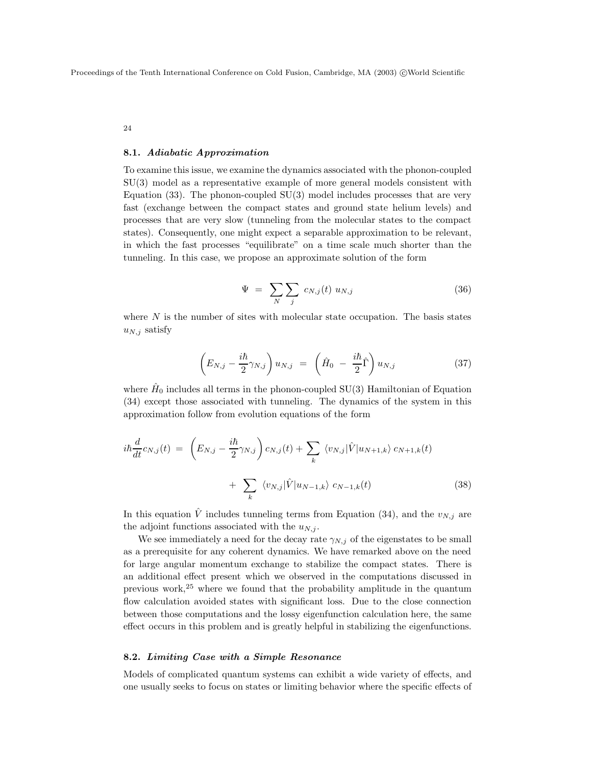#### **8.1.** *Adiabatic Approximation*

To examine this issue, we examine the dynamics associated with the phonon-coupled SU(3) model as a representative example of more general models consistent with Equation  $(33)$ . The phonon-coupled  $SU(3)$  model includes processes that are very fast (exchange between the compact states and ground state helium levels) and processes that are very slow (tunneling from the molecular states to the compact states). Consequently, one might expect a separable approximation to be relevant, in which the fast processes "equilibrate" on a time scale much shorter than the tunneling. In this case, we propose an approximate solution of the form

$$
\Psi = \sum_{N} \sum_{j} c_{N,j}(t) u_{N,j} \tag{36}
$$

where  $N$  is the number of sites with molecular state occupation. The basis states  $u_{N,j}$  satisfy

$$
\left(E_{N,j} - \frac{i\hbar}{2} \gamma_{N,j}\right) u_{N,j} = \left(\hat{H}_0 - \frac{i\hbar}{2} \hat{\Gamma}\right) u_{N,j} \tag{37}
$$

where  $\hat{H}_0$  includes all terms in the phonon-coupled SU(3) Hamiltonian of Equation (34) except those associated with tunneling. The dynamics of the system in this approximation follow from evolution equations of the form

$$
i\hbar \frac{d}{dt} c_{N,j}(t) = \left( E_{N,j} - \frac{i\hbar}{2} \gamma_{N,j} \right) c_{N,j}(t) + \sum_{k} \langle v_{N,j} | \hat{V} | u_{N+1,k} \rangle c_{N+1,k}(t) + \sum_{k} \langle v_{N,j} | \hat{V} | u_{N-1,k} \rangle c_{N-1,k}(t) \tag{38}
$$

In this equation  $\hat{V}$  includes tunneling terms from Equation (34), and the  $v_{N,j}$  are the adjoint functions associated with the  $u_{N,i}$ .

We see immediately a need for the decay rate  $\gamma_{N,j}$  of the eigenstates to be small as a prerequisite for any coherent dynamics. We have remarked above on the need for large angular momentum exchange to stabilize the compact states. There is an additional effect present which we observed in the computations discussed in previous work,<sup>25</sup> where we found that the probability amplitude in the quantum flow calculation avoided states with significant loss. Due to the close connection between those computations and the lossy eigenfunction calculation here, the same effect occurs in this problem and is greatly helpful in stabilizing the eigenfunctions.

#### **8.2.** *Limiting Case with a Simple Resonance*

Models of complicated quantum systems can exhibit a wide variety of effects, and one usually seeks to focus on states or limiting behavior where the specific effects of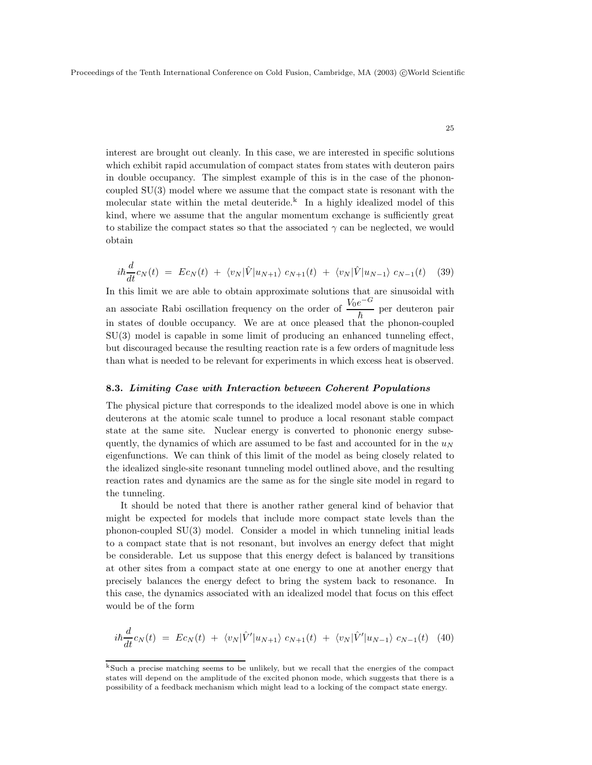interest are brought out cleanly. In this case, we are interested in specific solutions which exhibit rapid accumulation of compact states from states with deuteron pairs in double occupancy. The simplest example of this is in the case of the phononcoupled SU(3) model where we assume that the compact state is resonant with the molecular state within the metal deuteride.<sup>k</sup> In a highly idealized model of this kind, where we assume that the angular momentum exchange is sufficiently great to stabilize the compact states so that the associated  $\gamma$  can be neglected, we would obtain

$$
i\hbar \frac{d}{dt} c_N(t) = E c_N(t) + \langle v_N | \hat{V} | u_{N+1} \rangle c_{N+1}(t) + \langle v_N | \hat{V} | u_{N-1} \rangle c_{N-1}(t) \quad (39)
$$

In this limit we are able to obtain approximate solutions that are sinusoidal with an associate Rabi oscillation frequency on the order of  $\frac{V_0e^{-G}}{\hbar}$  per deuteron pair in states of double occupancy. We are at once pleased that the phonon-coupled SU(3) model is capable in some limit of producing an enhanced tunneling effect, but discouraged because the resulting reaction rate is a few orders of magnitude less than what is needed to be relevant for experiments in which excess heat is observed.

#### **8.3.** *Limiting Case with Interaction between Coherent Populations*

The physical picture that corresponds to the idealized model above is one in which deuterons at the atomic scale tunnel to produce a local resonant stable compact state at the same site. Nuclear energy is converted to phononic energy subsequently, the dynamics of which are assumed to be fast and accounted for in the  $u_N$ eigenfunctions. We can think of this limit of the model as being closely related to the idealized single-site resonant tunneling model outlined above, and the resulting reaction rates and dynamics are the same as for the single site model in regard to the tunneling.

It should be noted that there is another rather general kind of behavior that might be expected for models that include more compact state levels than the phonon-coupled SU(3) model. Consider a model in which tunneling initial leads to a compact state that is not resonant, but involves an energy defect that might be considerable. Let us suppose that this energy defect is balanced by transitions at other sites from a compact state at one energy to one at another energy that precisely balances the energy defect to bring the system back to resonance. In this case, the dynamics associated with an idealized model that focus on this effect would be of the form

$$
i\hbar \frac{d}{dt} c_N(t) = E c_N(t) + \langle v_N | \hat{V}' | u_{N+1} \rangle c_{N+1}(t) + \langle v_N | \hat{V}' | u_{N-1} \rangle c_{N-1}(t) \tag{40}
$$

<sup>k</sup>Such a precise matching seems to be unlikely, but we recall that the energies of the compact states will depend on the amplitude of the excited phonon mode, which suggests that there is a possibility of a feedback mechanism which might lead to a locking of the compact state energy.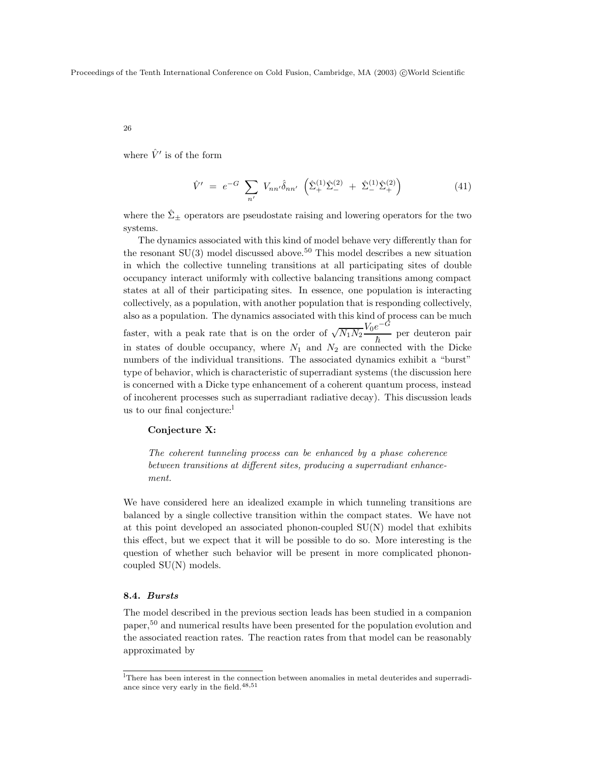where  $\hat{V}'$  is of the form

$$
\hat{V}' = e^{-G} \sum_{n'} V_{nn'} \hat{\delta}_{nn'} \left( \hat{\Sigma}_{+}^{(1)} \hat{\Sigma}_{-}^{(2)} + \hat{\Sigma}_{-}^{(1)} \hat{\Sigma}_{+}^{(2)} \right)
$$
(41)

where the  $\hat{\Sigma}_{\pm}$  operators are pseudostate raising and lowering operators for the two systems.

The dynamics associated with this kind of model behave very differently than for the resonant  $SU(3)$  model discussed above.<sup>50</sup> This model describes a new situation in which the collective tunneling transitions at all participating sites of double occupancy interact uniformly with collective balancing transitions among compact states at all of their participating sites. In essence, one population is interacting collectively, as a population, with another population that is responding collectively, also as a population. The dynamics associated with this kind of process can be much faster, with a peak rate that is on the order of  $\sqrt{N_1 N_2} \frac{V_0 e^{-G}}{\hbar}$  per deuteron pair in states of double occupancy, where  $N_1$  and  $N_2$  are connected with the Dicke numbers of the individual transitions. The associated dynamics exhibit a "burst" type of behavior, which is characteristic of superradiant systems (the discussion here is concerned with a Dicke type enhancement of a coherent quantum process, instead of incoherent processes such as superradiant radiative decay). This discussion leads us to our final conjecture:

## **Conjecture X:**

*The coherent tunneling process can be enhanced by a phase coherence between transitions at different sites, producing a superradiant enhancement.*

We have considered here an idealized example in which tunneling transitions are balanced by a single collective transition within the compact states. We have not at this point developed an associated phonon-coupled SU(N) model that exhibits this effect, but we expect that it will be possible to do so. More interesting is the question of whether such behavior will be present in more complicated phononcoupled SU(N) models.

## **8.4.** *Bursts*

The model described in the previous section leads has been studied in a companion paper,<sup>50</sup> and numerical results have been presented for the population evolution and the associated reaction rates. The reaction rates from that model can be reasonably approximated by

l There has been interest in the connection between anomalies in metal deuterides and superradiance since very early in the field.48*,*<sup>51</sup>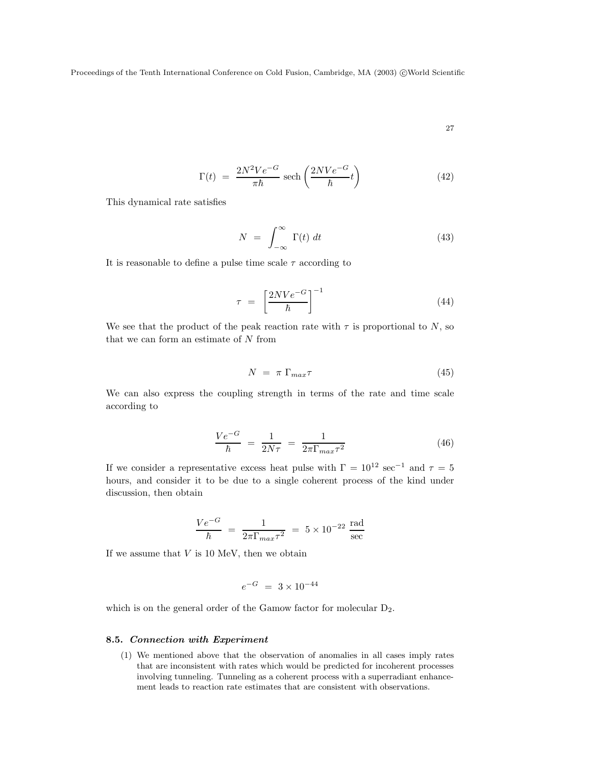27

$$
\Gamma(t) = \frac{2N^2Ve^{-G}}{\pi\hbar} \operatorname{sech}\left(\frac{2NV e^{-G}}{\hbar}t\right) \tag{42}
$$

This dynamical rate satisfies

$$
N = \int_{-\infty}^{\infty} \Gamma(t) dt
$$
 (43)

It is reasonable to define a pulse time scale *τ* according to

$$
\tau = \left[\frac{2NVe^{-G}}{\hbar}\right]^{-1} \tag{44}
$$

We see that the product of the peak reaction rate with  $\tau$  is proportional to *N*, so that we can form an estimate of *N* from

$$
N = \pi \Gamma_{max} \tau \tag{45}
$$

We can also express the coupling strength in terms of the rate and time scale according to

$$
\frac{Ve^{-G}}{\hbar} = \frac{1}{2N\tau} = \frac{1}{2\pi\Gamma_{max}\tau^2}
$$
\n(46)

If we consider a representative excess heat pulse with  $\Gamma = 10^{12} \text{ sec}^{-1}$  and  $\tau = 5$ hours, and consider it to be due to a single coherent process of the kind under discussion, then obtain

$$
\frac{Ve^{-G}}{\hbar} = \frac{1}{2\pi\Gamma_{max}\tau^2} = 5 \times 10^{-22} \frac{\text{rad}}{\text{sec}}
$$

If we assume that *V* is 10 MeV, then we obtain

$$
e^{-G} = 3 \times 10^{-44}
$$

which is on the general order of the Gamow factor for molecular  $D_2$ .

# **8.5.** *Connection with Experiment*

(1) We mentioned above that the observation of anomalies in all cases imply rates that are inconsistent with rates which would be predicted for incoherent processes involving tunneling. Tunneling as a coherent process with a superradiant enhancement leads to reaction rate estimates that are consistent with observations.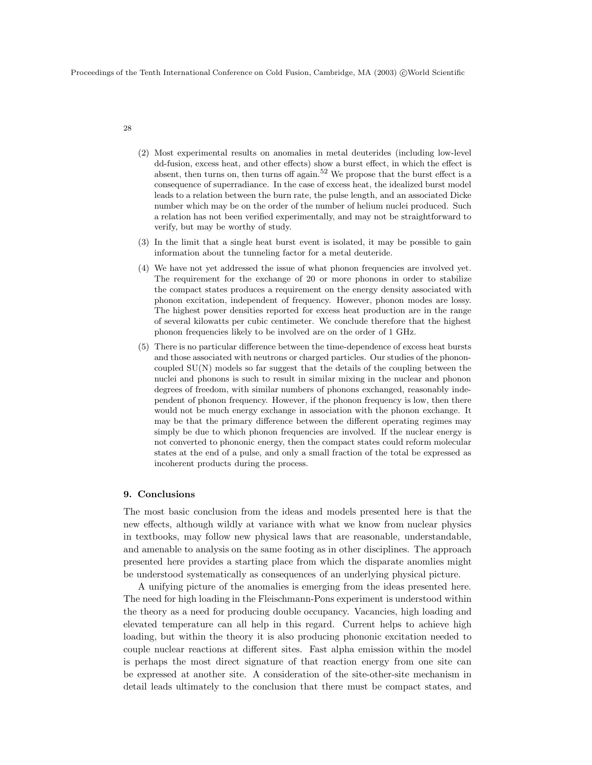- 28
- (2) Most experimental results on anomalies in metal deuterides (including low-level dd-fusion, excess heat, and other effects) show a burst effect, in which the effect is absent, then turns on, then turns off again.<sup>52</sup> We propose that the burst effect is a consequence of superradiance. In the case of excess heat, the idealized burst model leads to a relation between the burn rate, the pulse length, and an associated Dicke number which may be on the order of the number of helium nuclei produced. Such a relation has not been verified experimentally, and may not be straightforward to verify, but may be worthy of study.
- (3) In the limit that a single heat burst event is isolated, it may be possible to gain information about the tunneling factor for a metal deuteride.
- (4) We have not yet addressed the issue of what phonon frequencies are involved yet. The requirement for the exchange of 20 or more phonons in order to stabilize the compact states produces a requirement on the energy density associated with phonon excitation, independent of frequency. However, phonon modes are lossy. The highest power densities reported for excess heat production are in the range of several kilowatts per cubic centimeter. We conclude therefore that the highest phonon frequencies likely to be involved are on the order of 1 GHz.
- (5) There is no particular difference between the time-dependence of excess heat bursts and those associated with neutrons or charged particles. Our studies of the phononcoupled SU(N) models so far suggest that the details of the coupling between the nuclei and phonons is such to result in similar mixing in the nuclear and phonon degrees of freedom, with similar numbers of phonons exchanged, reasonably independent of phonon frequency. However, if the phonon frequency is low, then there would not be much energy exchange in association with the phonon exchange. It may be that the primary difference between the different operating regimes may simply be due to which phonon frequencies are involved. If the nuclear energy is not converted to phononic energy, then the compact states could reform molecular states at the end of a pulse, and only a small fraction of the total be expressed as incoherent products during the process.

## **9. Conclusions**

The most basic conclusion from the ideas and models presented here is that the new effects, although wildly at variance with what we know from nuclear physics in textbooks, may follow new physical laws that are reasonable, understandable, and amenable to analysis on the same footing as in other disciplines. The approach presented here provides a starting place from which the disparate anomlies might be understood systematically as consequences of an underlying physical picture.

A unifying picture of the anomalies is emerging from the ideas presented here. The need for high loading in the Fleischmann-Pons experiment is understood within the theory as a need for producing double occupancy. Vacancies, high loading and elevated temperature can all help in this regard. Current helps to achieve high loading, but within the theory it is also producing phononic excitation needed to couple nuclear reactions at different sites. Fast alpha emission within the model is perhaps the most direct signature of that reaction energy from one site can be expressed at another site. A consideration of the site-other-site mechanism in detail leads ultimately to the conclusion that there must be compact states, and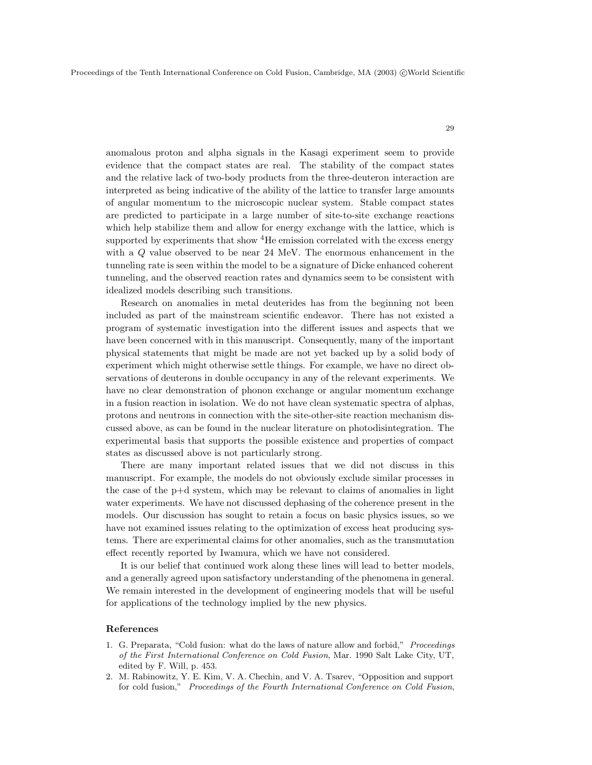anomalous proton and alpha signals in the Kasagi experiment seem to provide evidence that the compact states are real. The stability of the compact states and the relative lack of two-body products from the three-deuteron interaction are interpreted as being indicative of the ability of the lattice to transfer large amounts of angular momentum to the microscopic nuclear system. Stable compact states are predicted to participate in a large number of site-to-site exchange reactions which help stabilize them and allow for energy exchange with the lattice, which is supported by experiments that show <sup>4</sup>He emission correlated with the excess energy with a *Q* value observed to be near 24 MeV. The enormous enhancement in the tunneling rate is seen within the model to be a signature of Dicke enhanced coherent tunneling, and the observed reaction rates and dynamics seem to be consistent with idealized models describing such transitions.

Research on anomalies in metal deuterides has from the beginning not been included as part of the mainstream scientific endeavor. There has not existed a program of systematic investigation into the different issues and aspects that we have been concerned with in this manuscript. Consequently, many of the important physical statements that might be made are not yet backed up by a solid body of experiment which might otherwise settle things. For example, we have no direct observations of deuterons in double occupancy in any of the relevant experiments. We have no clear demonstration of phonon exchange or angular momentum exchange in a fusion reaction in isolation. We do not have clean systematic spectra of alphas, protons and neutrons in connection with the site-other-site reaction mechanism discussed above, as can be found in the nuclear literature on photodisintegration. The experimental basis that supports the possible existence and properties of compact states as discussed above is not particularly strong.

There are many important related issues that we did not discuss in this manuscript. For example, the models do not obviously exclude similar processes in the case of the p+d system, which may be relevant to claims of anomalies in light water experiments. We have not discussed dephasing of the coherence present in the models. Our discussion has sought to retain a focus on basic physics issues, so we have not examined issues relating to the optimization of excess heat producing systems. There are experimental claims for other anomalies, such as the transmutation effect recently reported by Iwamura, which we have not considered.

It is our belief that continued work along these lines will lead to better models, and a generally agreed upon satisfactory understanding of the phenomena in general. We remain interested in the development of engineering models that will be useful for applications of the technology implied by the new physics.

#### **References**

- 1. G. Preparata, "Cold fusion: what do the laws of nature allow and forbid," *Proceedings of the First International Conference on Cold Fusion*, Mar. 1990 Salt Lake City, UT, edited by F. Will, p. 453.
- 2. M. Rabinowitz, Y. E. Kim, V. A. Chechin, and V. A. Tsarev, "Opposition and support for cold fusion," *Proceedings of the Fourth International Conference on Cold Fusion*,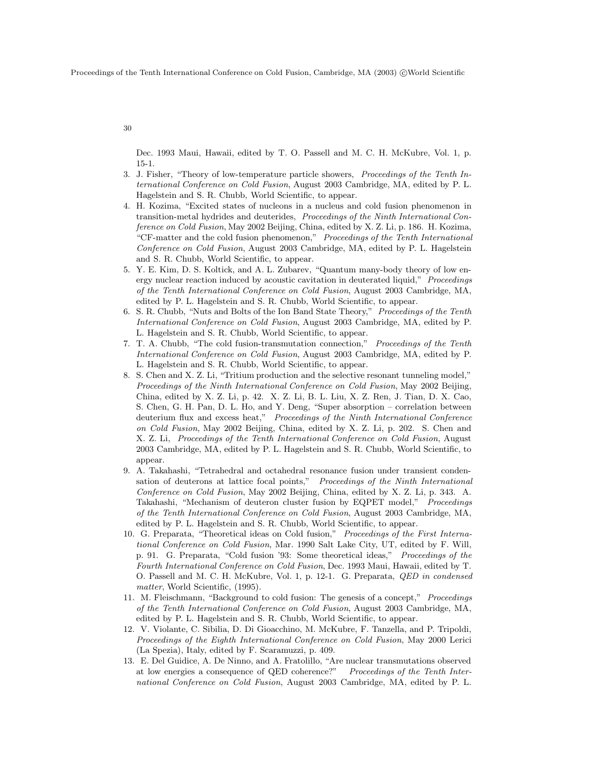Dec. 1993 Maui, Hawaii, edited by T. O. Passell and M. C. H. McKubre, Vol. 1, p. 15-1.

- 3. J. Fisher, "Theory of low-temperature particle showers, *Proceedings of the Tenth International Conference on Cold Fusion*, August 2003 Cambridge, MA, edited by P. L. Hagelstein and S. R. Chubb, World Scientific, to appear.
- 4. H. Kozima, "Excited states of nucleons in a nucleus and cold fusion phenomenon in transition-metal hydrides and deuterides, *Proceedings of the Ninth International Conference on Cold Fusion*, May 2002 Beijing, China, edited by X. Z. Li, p. 186. H. Kozima, "CF-matter and the cold fusion phenomenon," *Proceedings of the Tenth International Conference on Cold Fusion*, August 2003 Cambridge, MA, edited by P. L. Hagelstein and S. R. Chubb, World Scientific, to appear.
- 5. Y. E. Kim, D. S. Koltick, and A. L. Zubarev, "Quantum many-body theory of low energy nuclear reaction induced by acoustic cavitation in deuterated liquid," *Proceedings of the Tenth International Conference on Cold Fusion*, August 2003 Cambridge, MA, edited by P. L. Hagelstein and S. R. Chubb, World Scientific, to appear.
- 6. S. R. Chubb, "Nuts and Bolts of the Ion Band State Theory," *Proceedings of the Tenth International Conference on Cold Fusion*, August 2003 Cambridge, MA, edited by P. L. Hagelstein and S. R. Chubb, World Scientific, to appear.
- 7. T. A. Chubb, "The cold fusion-transmutation connection," *Proceedings of the Tenth International Conference on Cold Fusion*, August 2003 Cambridge, MA, edited by P. L. Hagelstein and S. R. Chubb, World Scientific, to appear.
- 8. S. Chen and X. Z. Li, "Tritium production and the selective resonant tunneling model," *Proceedings of the Ninth International Conference on Cold Fusion*, May 2002 Beijing, China, edited by X. Z. Li, p. 42. X. Z. Li, B. L. Liu, X. Z. Ren, J. Tian, D. X. Cao, S. Chen, G. H. Pan, D. L. Ho, and Y. Deng, "Super absorption – correlation between deuterium flux and excess heat," *Proceedings of the Ninth International Conference on Cold Fusion*, May 2002 Beijing, China, edited by X. Z. Li, p. 202. S. Chen and X. Z. Li, *Proceedings of the Tenth International Conference on Cold Fusion*, August 2003 Cambridge, MA, edited by P. L. Hagelstein and S. R. Chubb, World Scientific, to appear.
- 9. A. Takahashi, "Tetrahedral and octahedral resonance fusion under transient condensation of deuterons at lattice focal points," *Proceedings of the Ninth International Conference on Cold Fusion*, May 2002 Beijing, China, edited by X. Z. Li, p. 343. A. Takahashi, "Mechanism of deuteron cluster fusion by EQPET model," *Proceedings of the Tenth International Conference on Cold Fusion*, August 2003 Cambridge, MA, edited by P. L. Hagelstein and S. R. Chubb, World Scientific, to appear.
- 10. G. Preparata, "Theoretical ideas on Cold fusion," *Proceedings of the First International Conference on Cold Fusion*, Mar. 1990 Salt Lake City, UT, edited by F. Will, p. 91. G. Preparata, "Cold fusion '93: Some theoretical ideas," *Proceedings of the Fourth International Conference on Cold Fusion*, Dec. 1993 Maui, Hawaii, edited by T. O. Passell and M. C. H. McKubre, Vol. 1, p. 12-1. G. Preparata, *QED in condensed matter*, World Scientific, (1995).
- 11. M. Fleischmann, "Background to cold fusion: The genesis of a concept," *Proceedings of the Tenth International Conference on Cold Fusion*, August 2003 Cambridge, MA, edited by P. L. Hagelstein and S. R. Chubb, World Scientific, to appear.
- 12. V. Violante, C. Sibilia, D. Di Gioacchino, M. McKubre, F. Tanzella, and P. Tripoldi, *Proceedings of the Eighth International Conference on Cold Fusion*, May 2000 Lerici (La Spezia), Italy, edited by F. Scaramuzzi, p. 409.
- 13. E. Del Guidice, A. De Ninno, and A. Fratolillo, "Are nuclear transmutations observed at low energies a consequence of QED coherence?" *Proceedings of the Tenth International Conference on Cold Fusion*, August 2003 Cambridge, MA, edited by P. L.

30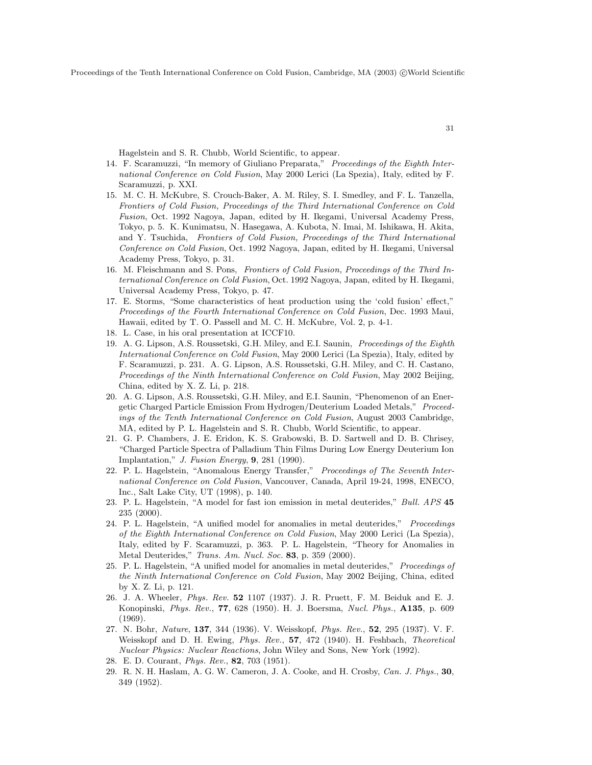Hagelstein and S. R. Chubb, World Scientific, to appear.

- 14. F. Scaramuzzi, "In memory of Giuliano Preparata," *Proceedings of the Eighth International Conference on Cold Fusion*, May 2000 Lerici (La Spezia), Italy, edited by F. Scaramuzzi, p. XXI.
- 15. M. C. H. McKubre, S. Crouch-Baker, A. M. Riley, S. I. Smedley, and F. L. Tanzella, *Frontiers of Cold Fusion, Proceedings of the Third International Conference on Cold Fusion*, Oct. 1992 Nagoya, Japan, edited by H. Ikegami, Universal Academy Press, Tokyo, p. 5. K. Kunimatsu, N. Hasegawa, A. Kubota, N. Imai, M. Ishikawa, H. Akita, and Y. Tsuchida, *Frontiers of Cold Fusion, Proceedings of the Third International Conference on Cold Fusion*, Oct. 1992 Nagoya, Japan, edited by H. Ikegami, Universal Academy Press, Tokyo, p. 31.
- 16. M. Fleischmann and S. Pons, *Frontiers of Cold Fusion, Proceedings of the Third International Conference on Cold Fusion*, Oct. 1992 Nagoya, Japan, edited by H. Ikegami, Universal Academy Press, Tokyo, p. 47.
- 17. E. Storms, "Some characteristics of heat production using the 'cold fusion' effect," *Proceedings of the Fourth International Conference on Cold Fusion*, Dec. 1993 Maui, Hawaii, edited by T. O. Passell and M. C. H. McKubre, Vol. 2, p. 4-1.
- 18. L. Case, in his oral presentation at ICCF10.
- 19. A. G. Lipson, A.S. Roussetski, G.H. Miley, and E.I. Saunin, *Proceedings of the Eighth International Conference on Cold Fusion*, May 2000 Lerici (La Spezia), Italy, edited by F. Scaramuzzi, p. 231. A. G. Lipson, A.S. Roussetski, G.H. Miley, and C. H. Castano, *Proceedings of the Ninth International Conference on Cold Fusion*, May 2002 Beijing, China, edited by X. Z. Li, p. 218.
- 20. A. G. Lipson, A.S. Roussetski, G.H. Miley, and E.I. Saunin, "Phenomenon of an Energetic Charged Particle Emission From Hydrogen/Deuterium Loaded Metals," *Proceedings of the Tenth International Conference on Cold Fusion*, August 2003 Cambridge, MA, edited by P. L. Hagelstein and S. R. Chubb, World Scientific, to appear.
- 21. G. P. Chambers, J. E. Eridon, K. S. Grabowski, B. D. Sartwell and D. B. Chrisey, "Charged Particle Spectra of Palladium Thin Films During Low Energy Deuterium Ion Implantation," *J. Fusion Energy*, **9**, 281 (1990).
- 22. P. L. Hagelstein, "Anomalous Energy Transfer," *Proceedings of The Seventh International Conference on Cold Fusion*, Vancouver, Canada, April 19-24, 1998, ENECO, Inc., Salt Lake City, UT (1998), p. 140.
- 23. P. L. Hagelstein, "A model for fast ion emission in metal deuterides," *Bull. APS* **45** 235 (2000).
- 24. P. L. Hagelstein, "A unified model for anomalies in metal deuterides," *Proceedings of the Eighth International Conference on Cold Fusion*, May 2000 Lerici (La Spezia), Italy, edited by F. Scaramuzzi, p. 363. P. L. Hagelstein, "Theory for Anomalies in Metal Deuterides," *Trans. Am. Nucl. Soc.* **83**, p. 359 (2000).
- 25. P. L. Hagelstein, "A unified model for anomalies in metal deuterides," *Proceedings of the Ninth International Conference on Cold Fusion*, May 2002 Beijing, China, edited by X. Z. Li, p. 121.
- 26. J. A. Wheeler, *Phys. Rev.* **52** 1107 (1937). J. R. Pruett, F. M. Beiduk and E. J. Konopinski, *Phys. Rev.*, **77**, 628 (1950). H. J. Boersma, *Nucl. Phys.*, **A135**, p. 609 (1969).
- 27. N. Bohr, *Nature*, **137**, 344 (1936). V. Weisskopf, *Phys. Rev.*, **52**, 295 (1937). V. F. Weisskopf and D. H. Ewing, *Phys. Rev.*, **57**, 472 (1940). H. Feshbach, *Theoretical Nuclear Physics: Nuclear Reactions*, John Wiley and Sons, New York (1992).
- 28. E. D. Courant, *Phys. Rev.*, **82**, 703 (1951).
- 29. R. N. H. Haslam, A. G. W. Cameron, J. A. Cooke, and H. Crosby, *Can. J. Phys.*, **30**, 349 (1952).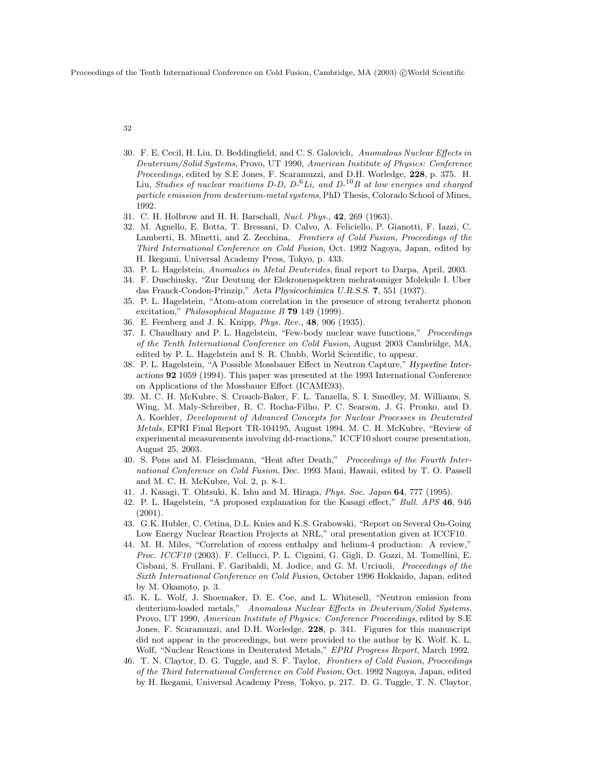- 30. F. E. Cecil, H. Liu, D. Beddingfield, and C. S. Galovich, *Anomalous Nuclear Effects in Deuterium/Solid Systems*, Provo, UT 1990, *American Institute of Physics: Conference Proceedings*, edited by S.E Jones, F. Scaramuzzi, and D.H. Worledge, **228**, p. 375. H. Liu, *Studies of nuclear reactions D-D, D-*6*Li, and D-*10*B at low energies and charged particle emission from deuterium-metal systems*, PhD Thesis, Colorado School of Mines, 1992.
- 31. C. H. Holbrow and H. H. Barschall, *Nucl. Phys.*, **42**, 269 (1963).
- 32. M. Agnello, E. Botta, T. Bressani, D. Calvo, A. Feliciello, P. Gianotti, F. Iazzi, C. Lamberti, B. Minetti, and Z. Zecchina, *Frontiers of Cold Fusion, Proceedings of the Third International Conference on Cold Fusion*, Oct. 1992 Nagoya, Japan, edited by H. Ikegami, Universal Academy Press, Tokyo, p. 433.
- 33. P. L. Hagelstein, *Anomalies in Metal Deuterides*, final report to Darpa, April, 2003.
- 34. F. Duschinsky, "Zur Deutung der Elekronenspektren mehratomiger Molekule I. Uber das Franck-Condon-Prinzip," *Acta Physicochimica U.R.S.S.* **7**, 551 (1937).
- 35. P. L. Hagelstein, "Atom-atom correlation in the presence of strong terahertz phonon excitation," *Philosophical Magazine B* **79** 149 (1999).
- 36. E. Feenberg and J. K. Knipp, *Phys. Rev.*, **48**, 906 (1935).
- 37. I. Chaudhary and P. L. Hagelstein, "Few-body nuclear wave functions," *Proceedings of the Tenth International Conference on Cold Fusion*, August 2003 Cambridge, MA, edited by P. L. Hagelstein and S. R. Chubb, World Scientific, to appear.
- 38. P. L. Hagelstein, "A Possible Mossbauer Effect in Neutron Capture," *Hyperfine Interactions* **92** 1059 (1994). This paper was presented at the 1993 International Conference on Applications of the Mossbauer Effect (ICAME93).
- 39. M. C. H. McKubre, S. Crouch-Baker, F. L. Tanzella, S. I. Smedley, M. Williams, S. Wing, M. Maly-Schreiber, R. C. Rocha-Filho, P. C. Searson, J. G. Pronko, and D. A. Koehler, *Development of Advanced Concepts for Nuclear Processes in Deuterated Metals*, EPRI Final Report TR-104195, August 1994. M. C. H. McKubre, "Review of experimental measurements involving dd-reactions," ICCF10 short course presentation, August 25, 2003.
- 40. S. Pons and M. Fleischmann, "Heat after Death," *Proceedings of the Fourth International Conference on Cold Fusion*, Dec. 1993 Maui, Hawaii, edited by T. O. Passell and M. C. H. McKubre, Vol. 2, p. 8-1.
- 41. J. Kasagi, T. Ohtsuki, K. Ishu and M. Hiraga, *Phys. Soc. Japan* **64**, 777 (1995).
- 42. P. L. Hagelstein, "A proposed explanation for the Kasagi effect," *Bull. APS* **46**, 946 (2001).
- 43. G.K. Hubler, C. Cetina, D.L. Knies and K.S. Grabowski, "Report on Several On-Going Low Energy Nuclear Reaction Projects at NRL," oral presentation given at ICCF10.
- 44. M. H. Miles, "Correlation of excess enthalpy and helium-4 production: A review," *Proc. ICCF10* (2003). F. Cellucci, P. L. Cignini, G. Gigli, D. Gozzi, M. Tomellini, E. Cisbani, S. Frullani, F. Garibaldi, M. Jodice, and G. M. Urciuoli, *Proceedings of the Sixth International Conference on Cold Fusion*, October 1996 Hokkaido, Japan, edited by M. Okamoto, p. 3.
- 45. K. L. Wolf, J. Shoemaker, D. E. Coe, and L. Whitesell, "Neutron emission from deuterium-loaded metals," *Anomalous Nuclear Effects in Deuterium/Solid Systems*, Provo, UT 1990, *American Institute of Physics: Conference Proceedings*, edited by S.E Jones, F. Scaramuzzi, and D.H. Worledge, **228**, p. 341. Figures for this manuscript did not appear in the proceedings, but were provided to the author by K. Wolf. K. L. Wolf, "Nuclear Reactions in Deuterated Metals," *EPRI Progress Report*, March 1992.
- 46. T. N. Claytor, D. G. Tuggle, and S. F. Taylor, *Frontiers of Cold Fusion, Proceedings of the Third International Conference on Cold Fusion*, Oct. 1992 Nagoya, Japan, edited by H. Ikegami, Universal Academy Press, Tokyo, p. 217. D. G. Tuggle, T. N. Claytor,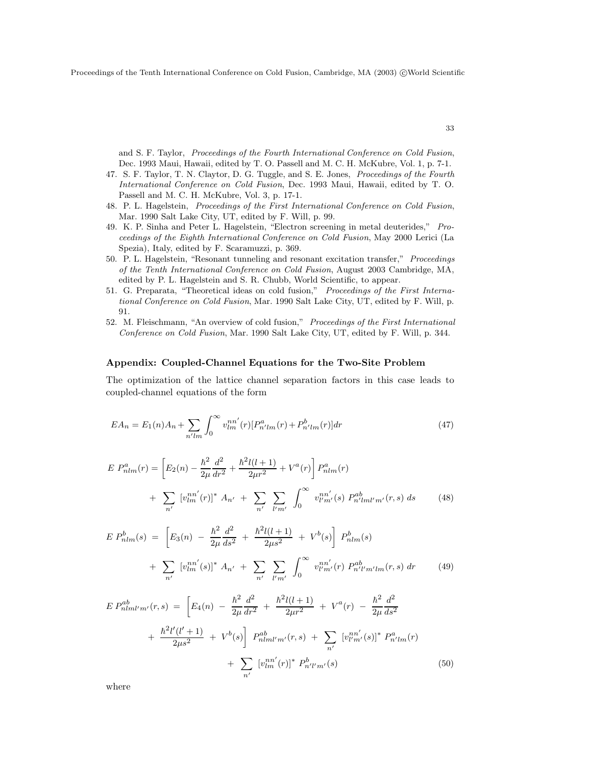and S. F. Taylor, *Proceedings of the Fourth International Conference on Cold Fusion*, Dec. 1993 Maui, Hawaii, edited by T. O. Passell and M. C. H. McKubre, Vol. 1, p. 7-1.

- 47. S. F. Taylor, T. N. Claytor, D. G. Tuggle, and S. E. Jones, *Proceedings of the Fourth International Conference on Cold Fusion*, Dec. 1993 Maui, Hawaii, edited by T. O. Passell and M. C. H. McKubre, Vol. 3, p. 17-1.
- 48. P. L. Hagelstein, *Proceedings of the First International Conference on Cold Fusion*, Mar. 1990 Salt Lake City, UT, edited by F. Will, p. 99.
- 49. K. P. Sinha and Peter L. Hagelstein, "Electron screening in metal deuterides," *Proceedings of the Eighth International Conference on Cold Fusion*, May 2000 Lerici (La Spezia), Italy, edited by F. Scaramuzzi, p. 369.
- 50. P. L. Hagelstein, "Resonant tunneling and resonant excitation transfer," *Proceedings of the Tenth International Conference on Cold Fusion*, August 2003 Cambridge, MA, edited by P. L. Hagelstein and S. R. Chubb, World Scientific, to appear.
- 51. G. Preparata, "Theoretical ideas on cold fusion," *Proceedings of the First International Conference on Cold Fusion*, Mar. 1990 Salt Lake City, UT, edited by F. Will, p. 91.
- 52. M. Fleischmann, "An overview of cold fusion," *Proceedings of the First International Conference on Cold Fusion*, Mar. 1990 Salt Lake City, UT, edited by F. Will, p. 344.

#### **Appendix: Coupled-Channel Equations for the Two-Site Problem**

The optimization of the lattice channel separation factors in this case leads to coupled-channel equations of the form

$$
EA_n = E_1(n)A_n + \sum_{n'lm} \int_0^\infty v_{lm}^{nn'}(r) [P_{n'lm}^a(r) + P_{n'lm}^b(r)] dr \tag{47}
$$

$$
E P_{nlm}^{a}(r) = \left[ E_2(n) - \frac{\hbar^2}{2\mu} \frac{d^2}{dr^2} + \frac{\hbar^2 l(l+1)}{2\mu r^2} + V^a(r) \right] P_{nlm}^{a}(r)
$$
  
+ 
$$
\sum_{n'} \left[ v_{lm}^{nn'}(r) \right]^* A_{n'} + \sum_{n'} \sum_{l'm'} \int_0^\infty v_{l'm'}^{nn'}(s) P_{n'lml'm'}^{ab}(r, s) ds \qquad (48)
$$

$$
E P_{nlm}^{b}(s) = \left[ E_3(n) - \frac{\hbar^2}{2\mu} \frac{d^2}{ds^2} + \frac{\hbar^2 l(l+1)}{2\mu s^2} + V^b(s) \right] P_{nlm}^{b}(s)
$$
  
+ 
$$
\sum_{n'} \left[ v_{lm}^{nn'}(s) \right]^* A_{n'} + \sum_{n'} \sum_{l'm'} \int_0^{\infty} v_{l'm'}^{nn'}(r) P_{n'l'm'lm}^{ab}(r, s) dr \qquad (49)
$$

$$
E P_{nlml'm'}^{ab}(r,s) = \left[ E_4(n) - \frac{\hbar^2}{2\mu} \frac{d^2}{dr^2} + \frac{\hbar^2 l(l+1)}{2\mu r^2} + V^a(r) - \frac{\hbar^2}{2\mu} \frac{d^2}{ds^2} + \frac{\hbar^2 l'(l'+1)}{2\mu s^2} + V^b(s) \right] P_{nlml'm'}^{ab}(r,s) + \sum_{n'} \left[ v_{l'm'}^{nn'}(s) \right]^* P_{n'l'm'}^{a}(s)
$$
\n
$$
+ \sum_{n'} \left[ v_{lm}^{nn'}(r) \right]^* P_{n'l'm'}^{b}(s) \tag{50}
$$

where